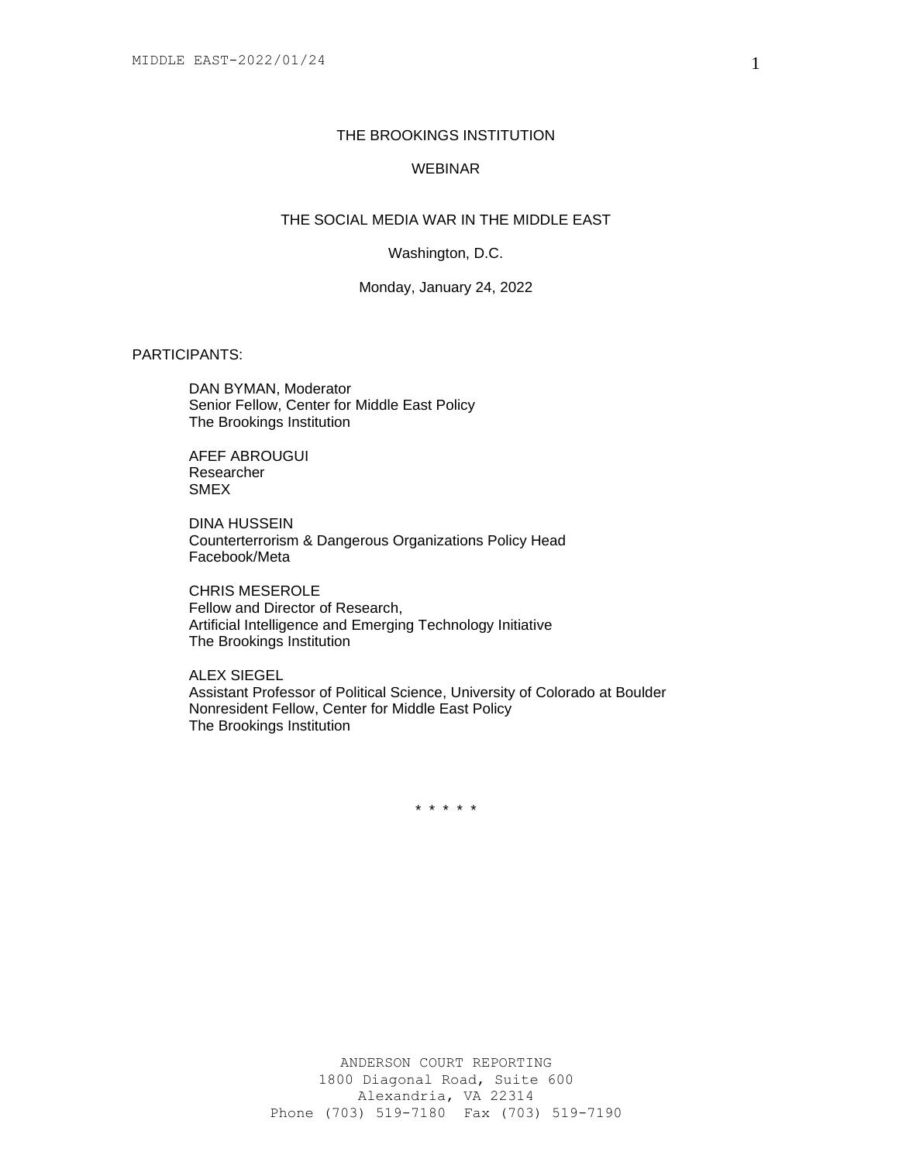### THE BROOKINGS INSTITUTION

# WEBINAR

## THE SOCIAL MEDIA WAR IN THE MIDDLE EAST

Washington, D.C.

Monday, January 24, 2022

### PARTICIPANTS:

DAN BYMAN, Moderator Senior Fellow, Center for Middle East Policy The Brookings Institution

AFEF ABROUGUI Researcher SMEX

DINA HUSSEIN Counterterrorism & Dangerous Organizations Policy Head Facebook/Meta

CHRIS MESEROLE Fellow and Director of Research, Artificial Intelligence and Emerging Technology Initiative The Brookings Institution

ALEX SIEGEL Assistant Professor of Political Science, University of Colorado at Boulder Nonresident Fellow, Center for Middle East Policy The Brookings Institution

\* \* \* \* \*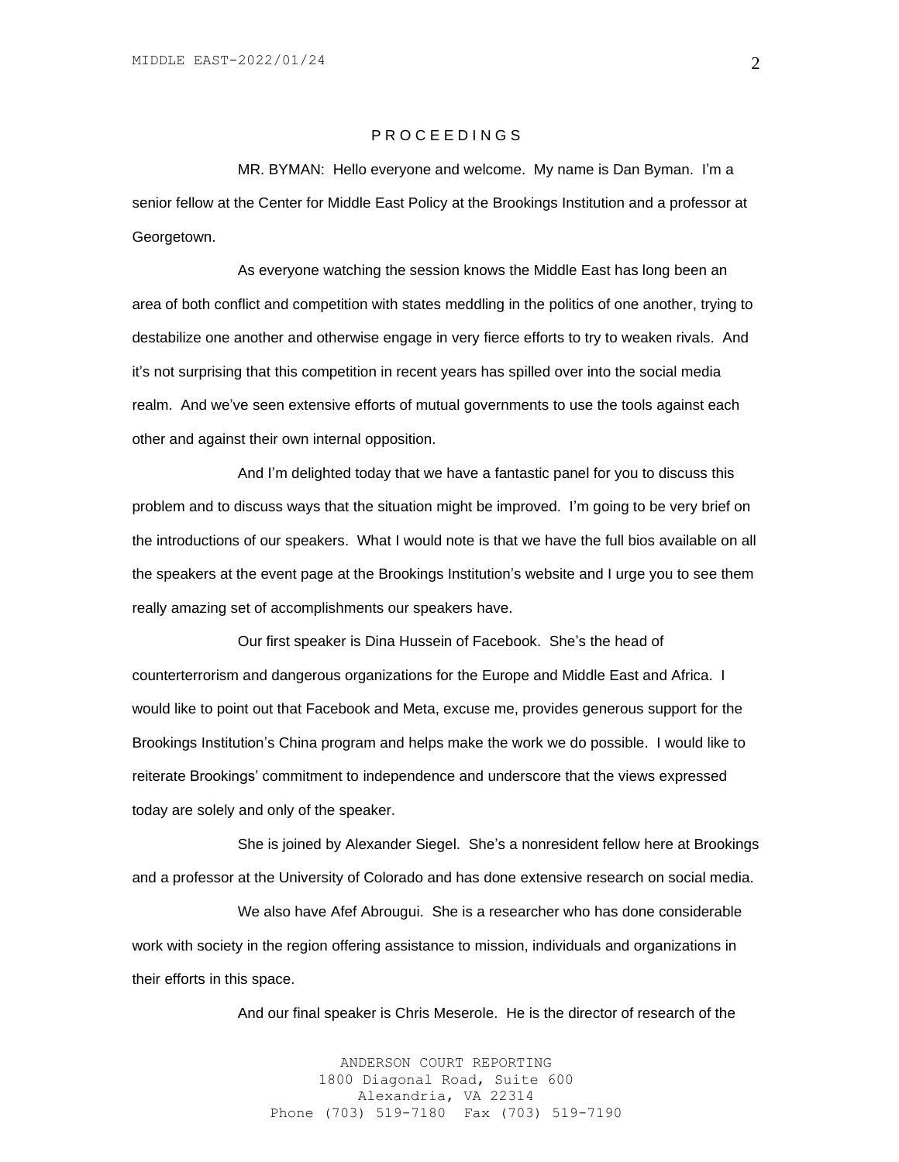### P R O C E E D I N G S

MR. BYMAN: Hello everyone and welcome. My name is Dan Byman. I'm a senior fellow at the Center for Middle East Policy at the Brookings Institution and a professor at Georgetown.

As everyone watching the session knows the Middle East has long been an area of both conflict and competition with states meddling in the politics of one another, trying to destabilize one another and otherwise engage in very fierce efforts to try to weaken rivals. And it's not surprising that this competition in recent years has spilled over into the social media realm. And we've seen extensive efforts of mutual governments to use the tools against each other and against their own internal opposition.

And I'm delighted today that we have a fantastic panel for you to discuss this problem and to discuss ways that the situation might be improved. I'm going to be very brief on the introductions of our speakers. What I would note is that we have the full bios available on all the speakers at the event page at the Brookings Institution's website and I urge you to see them really amazing set of accomplishments our speakers have.

Our first speaker is Dina Hussein of Facebook. She's the head of counterterrorism and dangerous organizations for the Europe and Middle East and Africa. I would like to point out that Facebook and Meta, excuse me, provides generous support for the Brookings Institution's China program and helps make the work we do possible. I would like to reiterate Brookings' commitment to independence and underscore that the views expressed today are solely and only of the speaker.

She is joined by Alexander Siegel. She's a nonresident fellow here at Brookings and a professor at the University of Colorado and has done extensive research on social media.

We also have Afef Abrougui. She is a researcher who has done considerable work with society in the region offering assistance to mission, individuals and organizations in their efforts in this space.

And our final speaker is Chris Meserole. He is the director of research of the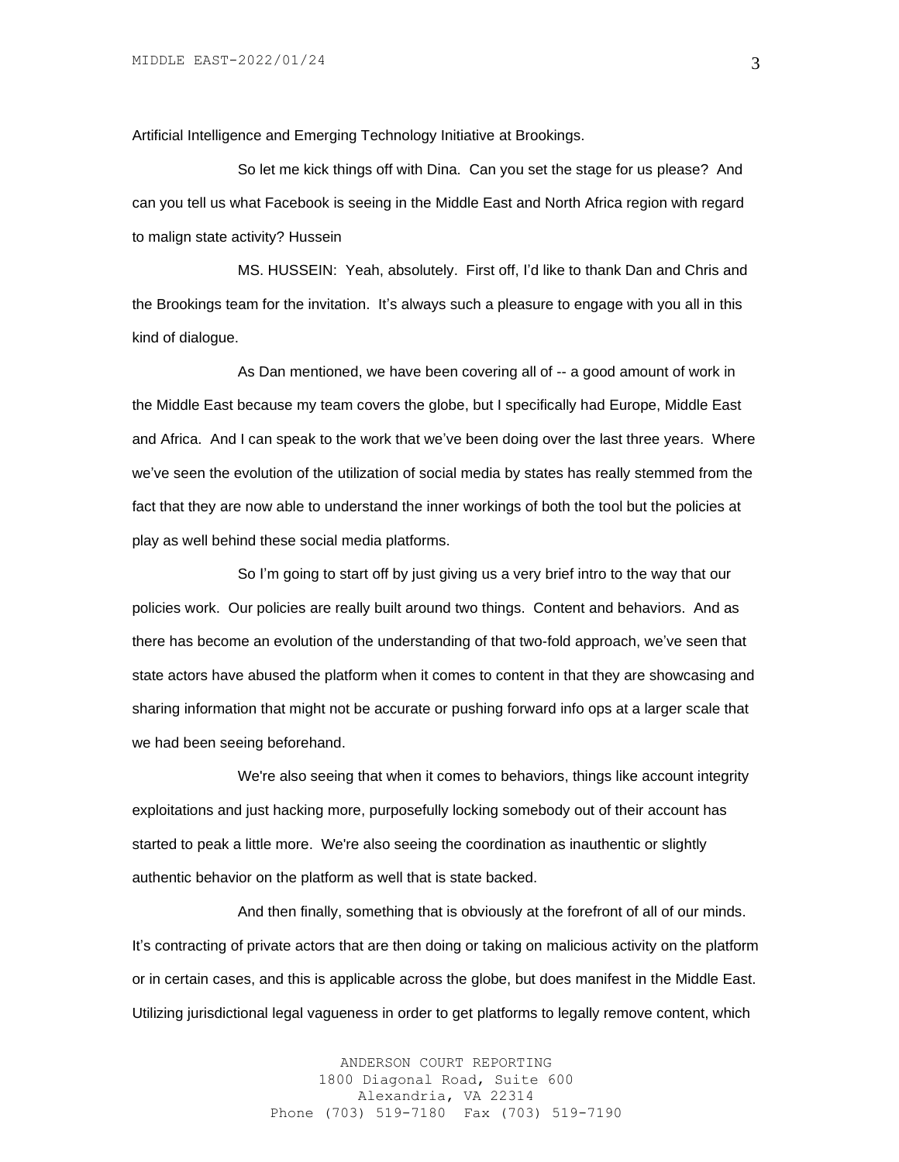Artificial Intelligence and Emerging Technology Initiative at Brookings.

So let me kick things off with Dina. Can you set the stage for us please? And can you tell us what Facebook is seeing in the Middle East and North Africa region with regard to malign state activity? Hussein

MS. HUSSEIN: Yeah, absolutely. First off, I'd like to thank Dan and Chris and the Brookings team for the invitation. It's always such a pleasure to engage with you all in this kind of dialogue.

As Dan mentioned, we have been covering all of -- a good amount of work in the Middle East because my team covers the globe, but I specifically had Europe, Middle East and Africa. And I can speak to the work that we've been doing over the last three years. Where we've seen the evolution of the utilization of social media by states has really stemmed from the fact that they are now able to understand the inner workings of both the tool but the policies at play as well behind these social media platforms.

So I'm going to start off by just giving us a very brief intro to the way that our policies work. Our policies are really built around two things. Content and behaviors. And as there has become an evolution of the understanding of that two-fold approach, we've seen that state actors have abused the platform when it comes to content in that they are showcasing and sharing information that might not be accurate or pushing forward info ops at a larger scale that we had been seeing beforehand.

We're also seeing that when it comes to behaviors, things like account integrity exploitations and just hacking more, purposefully locking somebody out of their account has started to peak a little more. We're also seeing the coordination as inauthentic or slightly authentic behavior on the platform as well that is state backed.

And then finally, something that is obviously at the forefront of all of our minds. It's contracting of private actors that are then doing or taking on malicious activity on the platform or in certain cases, and this is applicable across the globe, but does manifest in the Middle East. Utilizing jurisdictional legal vagueness in order to get platforms to legally remove content, which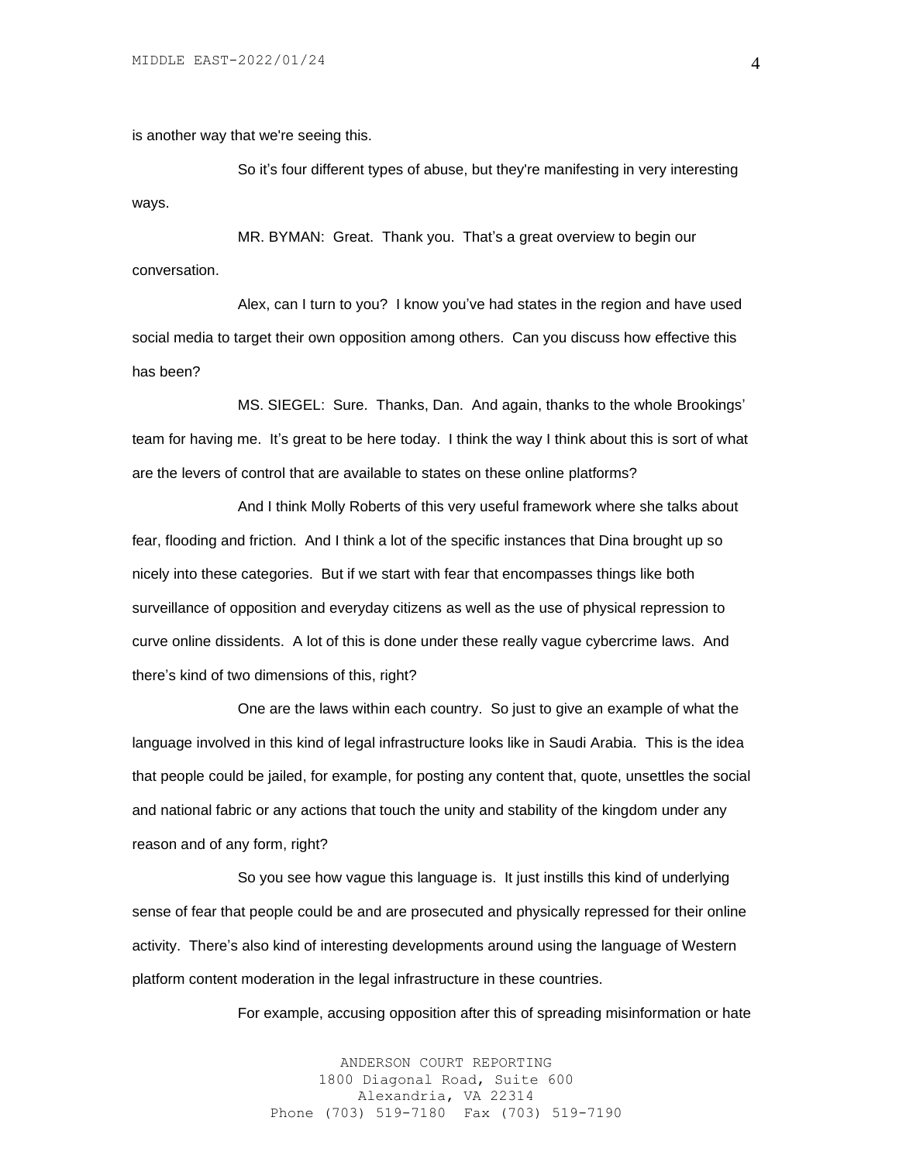is another way that we're seeing this.

So it's four different types of abuse, but they're manifesting in very interesting ways.

MR. BYMAN: Great. Thank you. That's a great overview to begin our conversation.

Alex, can I turn to you? I know you've had states in the region and have used social media to target their own opposition among others. Can you discuss how effective this has been?

MS. SIEGEL: Sure. Thanks, Dan. And again, thanks to the whole Brookings' team for having me. It's great to be here today. I think the way I think about this is sort of what are the levers of control that are available to states on these online platforms?

And I think Molly Roberts of this very useful framework where she talks about fear, flooding and friction. And I think a lot of the specific instances that Dina brought up so nicely into these categories. But if we start with fear that encompasses things like both surveillance of opposition and everyday citizens as well as the use of physical repression to curve online dissidents. A lot of this is done under these really vague cybercrime laws. And there's kind of two dimensions of this, right?

One are the laws within each country. So just to give an example of what the language involved in this kind of legal infrastructure looks like in Saudi Arabia. This is the idea that people could be jailed, for example, for posting any content that, quote, unsettles the social and national fabric or any actions that touch the unity and stability of the kingdom under any reason and of any form, right?

So you see how vague this language is. It just instills this kind of underlying sense of fear that people could be and are prosecuted and physically repressed for their online activity. There's also kind of interesting developments around using the language of Western platform content moderation in the legal infrastructure in these countries.

For example, accusing opposition after this of spreading misinformation or hate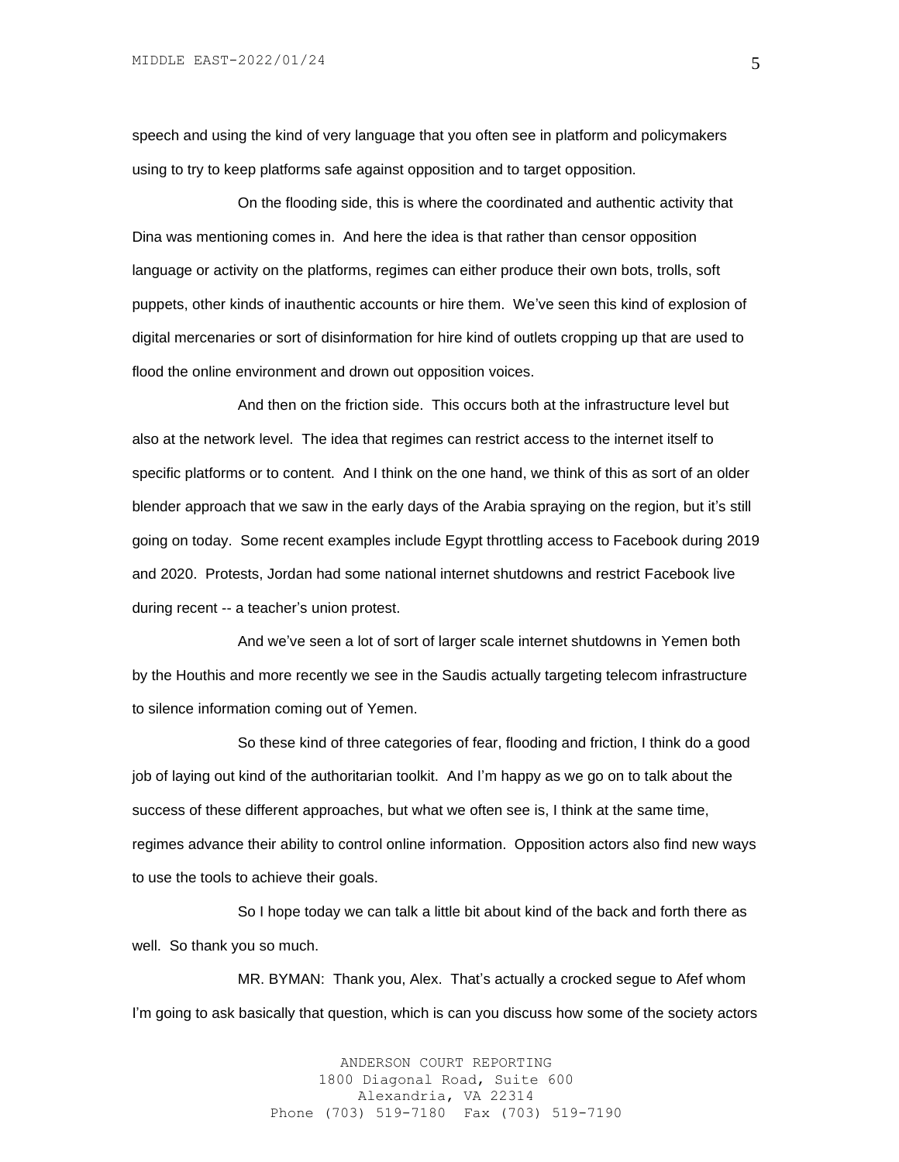speech and using the kind of very language that you often see in platform and policymakers using to try to keep platforms safe against opposition and to target opposition.

On the flooding side, this is where the coordinated and authentic activity that Dina was mentioning comes in. And here the idea is that rather than censor opposition language or activity on the platforms, regimes can either produce their own bots, trolls, soft puppets, other kinds of inauthentic accounts or hire them. We've seen this kind of explosion of digital mercenaries or sort of disinformation for hire kind of outlets cropping up that are used to flood the online environment and drown out opposition voices.

And then on the friction side. This occurs both at the infrastructure level but also at the network level. The idea that regimes can restrict access to the internet itself to specific platforms or to content. And I think on the one hand, we think of this as sort of an older blender approach that we saw in the early days of the Arabia spraying on the region, but it's still going on today. Some recent examples include Egypt throttling access to Facebook during 2019 and 2020. Protests, Jordan had some national internet shutdowns and restrict Facebook live during recent -- a teacher's union protest.

And we've seen a lot of sort of larger scale internet shutdowns in Yemen both by the Houthis and more recently we see in the Saudis actually targeting telecom infrastructure to silence information coming out of Yemen.

So these kind of three categories of fear, flooding and friction, I think do a good job of laying out kind of the authoritarian toolkit. And I'm happy as we go on to talk about the success of these different approaches, but what we often see is, I think at the same time, regimes advance their ability to control online information. Opposition actors also find new ways to use the tools to achieve their goals.

So I hope today we can talk a little bit about kind of the back and forth there as well. So thank you so much.

MR. BYMAN: Thank you, Alex. That's actually a crocked segue to Afef whom I'm going to ask basically that question, which is can you discuss how some of the society actors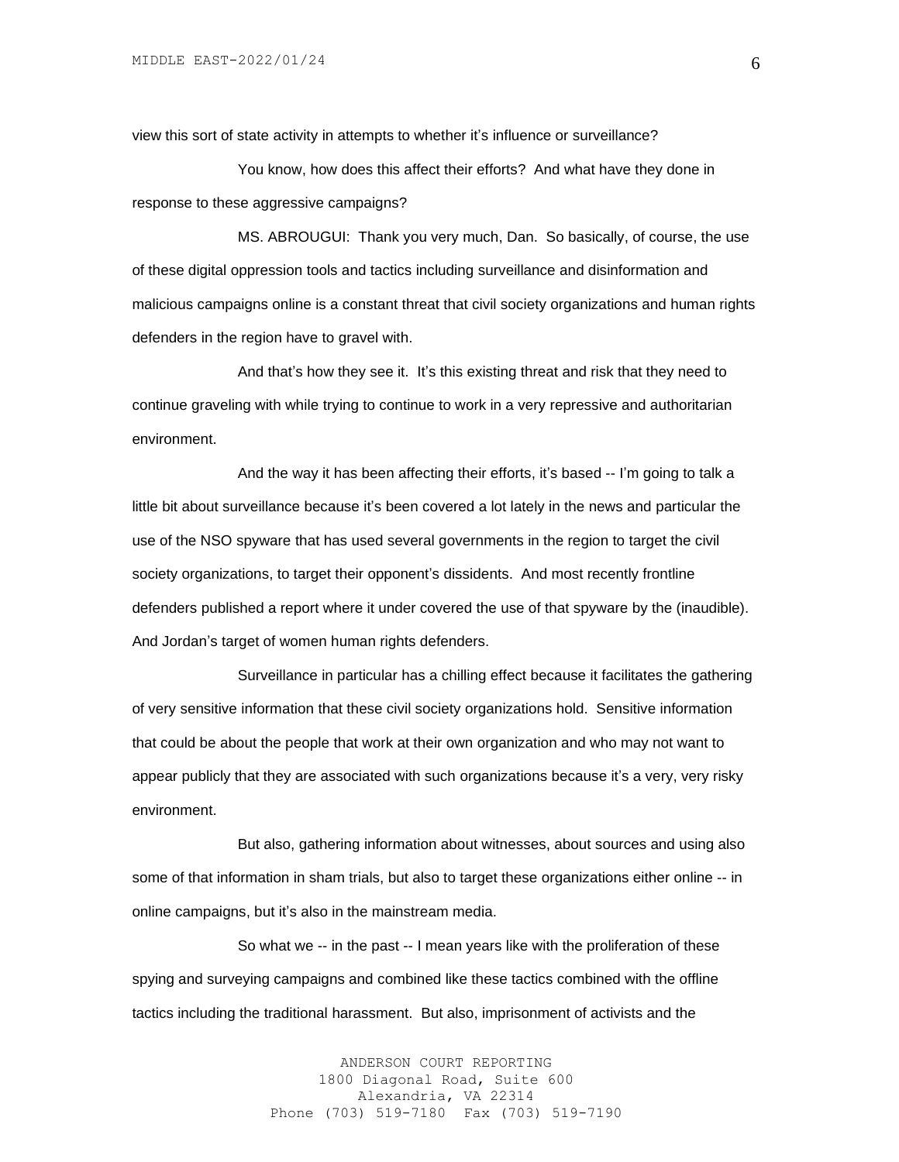view this sort of state activity in attempts to whether it's influence or surveillance?

You know, how does this affect their efforts? And what have they done in response to these aggressive campaigns?

MS. ABROUGUI: Thank you very much, Dan. So basically, of course, the use of these digital oppression tools and tactics including surveillance and disinformation and malicious campaigns online is a constant threat that civil society organizations and human rights defenders in the region have to gravel with.

And that's how they see it. It's this existing threat and risk that they need to continue graveling with while trying to continue to work in a very repressive and authoritarian environment.

And the way it has been affecting their efforts, it's based -- I'm going to talk a little bit about surveillance because it's been covered a lot lately in the news and particular the use of the NSO spyware that has used several governments in the region to target the civil society organizations, to target their opponent's dissidents. And most recently frontline defenders published a report where it under covered the use of that spyware by the (inaudible). And Jordan's target of women human rights defenders.

Surveillance in particular has a chilling effect because it facilitates the gathering of very sensitive information that these civil society organizations hold. Sensitive information that could be about the people that work at their own organization and who may not want to appear publicly that they are associated with such organizations because it's a very, very risky environment.

But also, gathering information about witnesses, about sources and using also some of that information in sham trials, but also to target these organizations either online -- in online campaigns, but it's also in the mainstream media.

So what we -- in the past -- I mean years like with the proliferation of these spying and surveying campaigns and combined like these tactics combined with the offline tactics including the traditional harassment. But also, imprisonment of activists and the

> ANDERSON COURT REPORTING 1800 Diagonal Road, Suite 600 Alexandria, VA 22314 Phone (703) 519-7180 Fax (703) 519-7190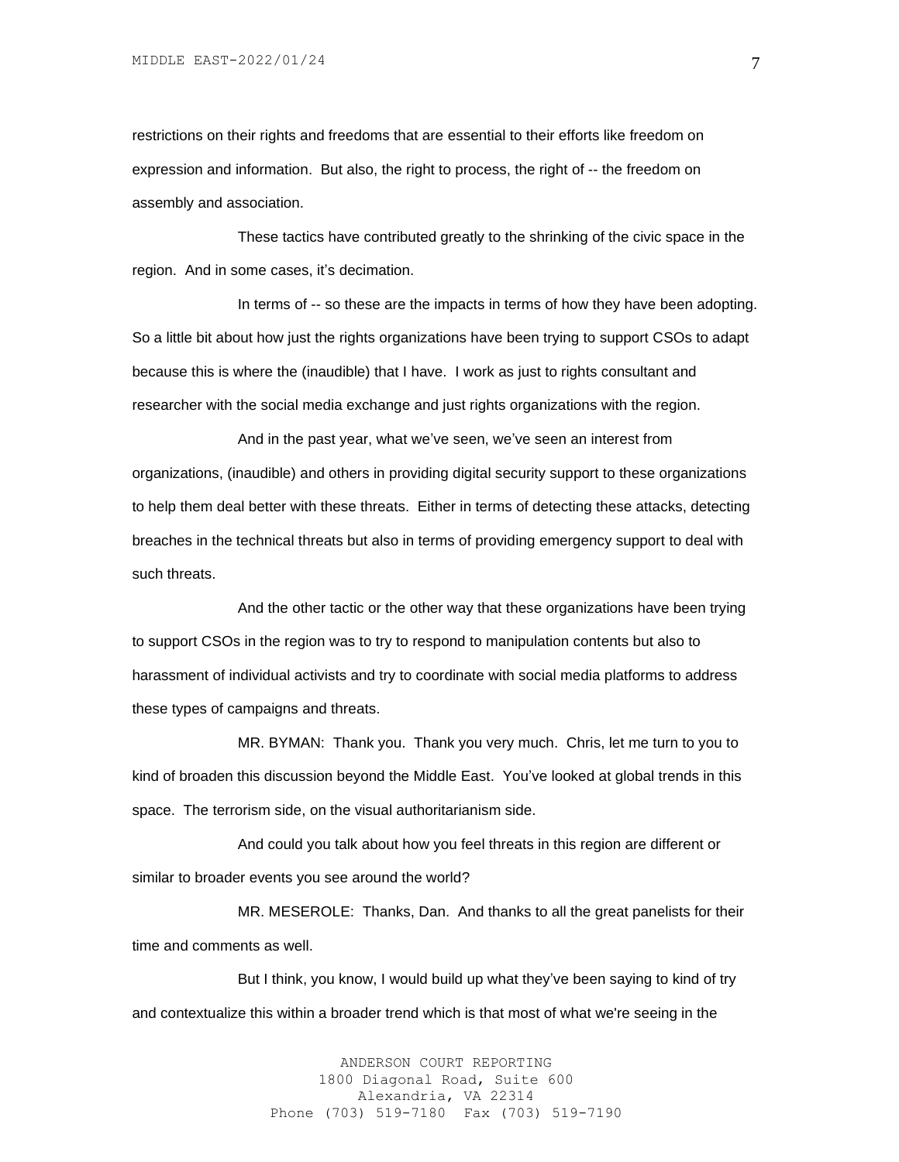restrictions on their rights and freedoms that are essential to their efforts like freedom on expression and information. But also, the right to process, the right of -- the freedom on assembly and association.

These tactics have contributed greatly to the shrinking of the civic space in the region. And in some cases, it's decimation.

In terms of -- so these are the impacts in terms of how they have been adopting. So a little bit about how just the rights organizations have been trying to support CSOs to adapt because this is where the (inaudible) that I have. I work as just to rights consultant and researcher with the social media exchange and just rights organizations with the region.

And in the past year, what we've seen, we've seen an interest from organizations, (inaudible) and others in providing digital security support to these organizations to help them deal better with these threats. Either in terms of detecting these attacks, detecting breaches in the technical threats but also in terms of providing emergency support to deal with such threats.

And the other tactic or the other way that these organizations have been trying to support CSOs in the region was to try to respond to manipulation contents but also to harassment of individual activists and try to coordinate with social media platforms to address these types of campaigns and threats.

MR. BYMAN: Thank you. Thank you very much. Chris, let me turn to you to kind of broaden this discussion beyond the Middle East. You've looked at global trends in this space. The terrorism side, on the visual authoritarianism side.

And could you talk about how you feel threats in this region are different or similar to broader events you see around the world?

MR. MESEROLE: Thanks, Dan. And thanks to all the great panelists for their time and comments as well.

But I think, you know, I would build up what they've been saying to kind of try and contextualize this within a broader trend which is that most of what we're seeing in the

> ANDERSON COURT REPORTING 1800 Diagonal Road, Suite 600 Alexandria, VA 22314 Phone (703) 519-7180 Fax (703) 519-7190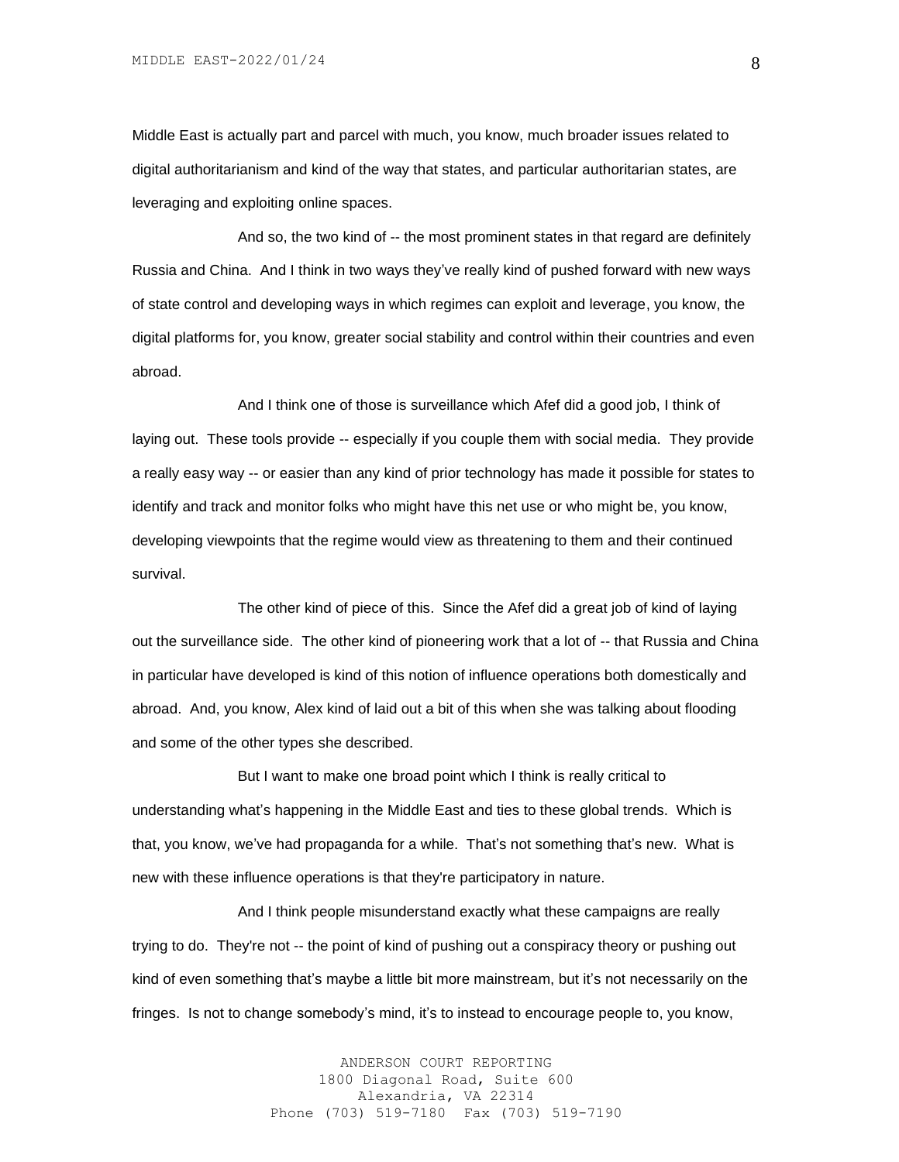Middle East is actually part and parcel with much, you know, much broader issues related to digital authoritarianism and kind of the way that states, and particular authoritarian states, are leveraging and exploiting online spaces.

And so, the two kind of -- the most prominent states in that regard are definitely Russia and China. And I think in two ways they've really kind of pushed forward with new ways of state control and developing ways in which regimes can exploit and leverage, you know, the digital platforms for, you know, greater social stability and control within their countries and even abroad.

And I think one of those is surveillance which Afef did a good job, I think of laying out. These tools provide -- especially if you couple them with social media. They provide a really easy way -- or easier than any kind of prior technology has made it possible for states to identify and track and monitor folks who might have this net use or who might be, you know, developing viewpoints that the regime would view as threatening to them and their continued survival.

The other kind of piece of this. Since the Afef did a great job of kind of laying out the surveillance side. The other kind of pioneering work that a lot of -- that Russia and China in particular have developed is kind of this notion of influence operations both domestically and abroad. And, you know, Alex kind of laid out a bit of this when she was talking about flooding and some of the other types she described.

But I want to make one broad point which I think is really critical to understanding what's happening in the Middle East and ties to these global trends. Which is that, you know, we've had propaganda for a while. That's not something that's new. What is new with these influence operations is that they're participatory in nature.

And I think people misunderstand exactly what these campaigns are really trying to do. They're not -- the point of kind of pushing out a conspiracy theory or pushing out kind of even something that's maybe a little bit more mainstream, but it's not necessarily on the fringes. Is not to change somebody's mind, it's to instead to encourage people to, you know,

> ANDERSON COURT REPORTING 1800 Diagonal Road, Suite 600 Alexandria, VA 22314 Phone (703) 519-7180 Fax (703) 519-7190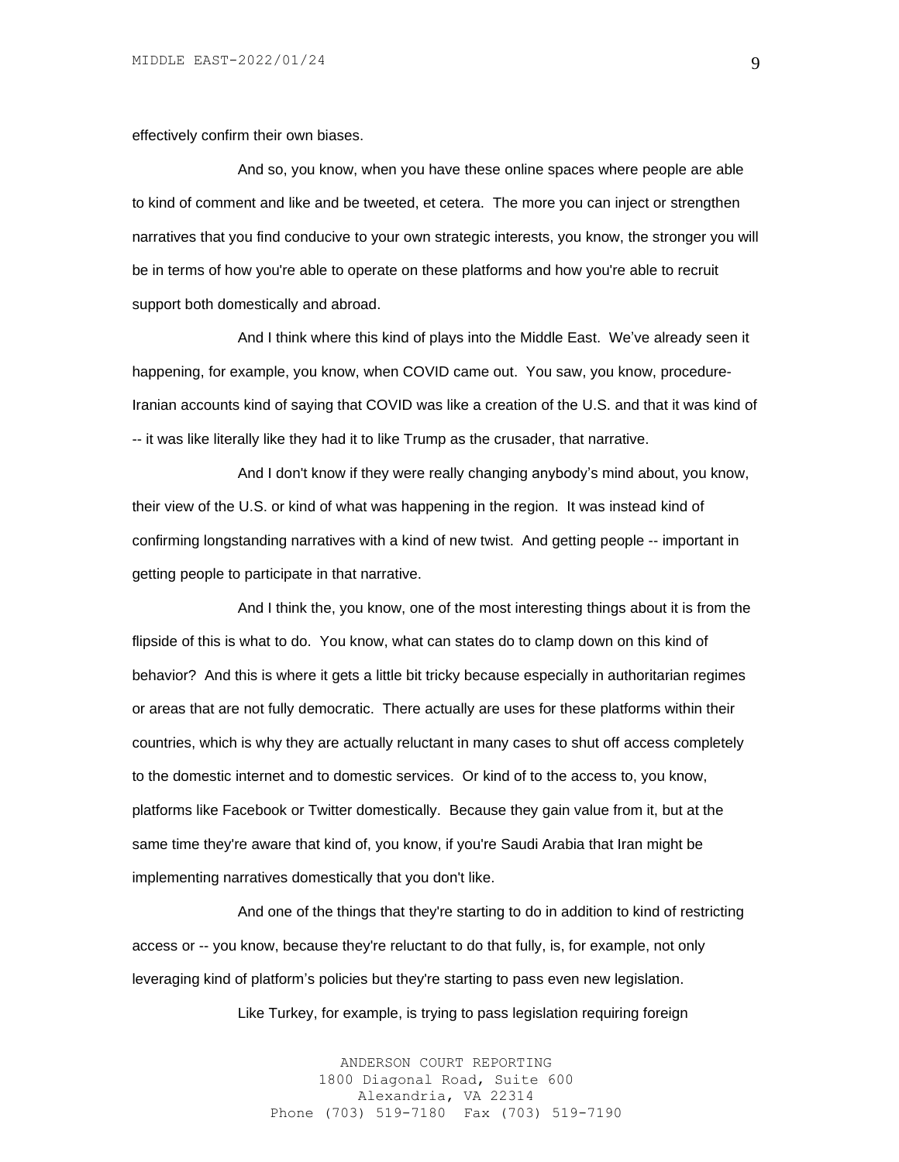effectively confirm their own biases.

And so, you know, when you have these online spaces where people are able to kind of comment and like and be tweeted, et cetera. The more you can inject or strengthen narratives that you find conducive to your own strategic interests, you know, the stronger you will be in terms of how you're able to operate on these platforms and how you're able to recruit support both domestically and abroad.

And I think where this kind of plays into the Middle East. We've already seen it happening, for example, you know, when COVID came out. You saw, you know, procedure-Iranian accounts kind of saying that COVID was like a creation of the U.S. and that it was kind of -- it was like literally like they had it to like Trump as the crusader, that narrative.

And I don't know if they were really changing anybody's mind about, you know, their view of the U.S. or kind of what was happening in the region. It was instead kind of confirming longstanding narratives with a kind of new twist. And getting people -- important in getting people to participate in that narrative.

And I think the, you know, one of the most interesting things about it is from the flipside of this is what to do. You know, what can states do to clamp down on this kind of behavior? And this is where it gets a little bit tricky because especially in authoritarian regimes or areas that are not fully democratic. There actually are uses for these platforms within their countries, which is why they are actually reluctant in many cases to shut off access completely to the domestic internet and to domestic services. Or kind of to the access to, you know, platforms like Facebook or Twitter domestically. Because they gain value from it, but at the same time they're aware that kind of, you know, if you're Saudi Arabia that Iran might be implementing narratives domestically that you don't like.

And one of the things that they're starting to do in addition to kind of restricting access or -- you know, because they're reluctant to do that fully, is, for example, not only leveraging kind of platform's policies but they're starting to pass even new legislation.

Like Turkey, for example, is trying to pass legislation requiring foreign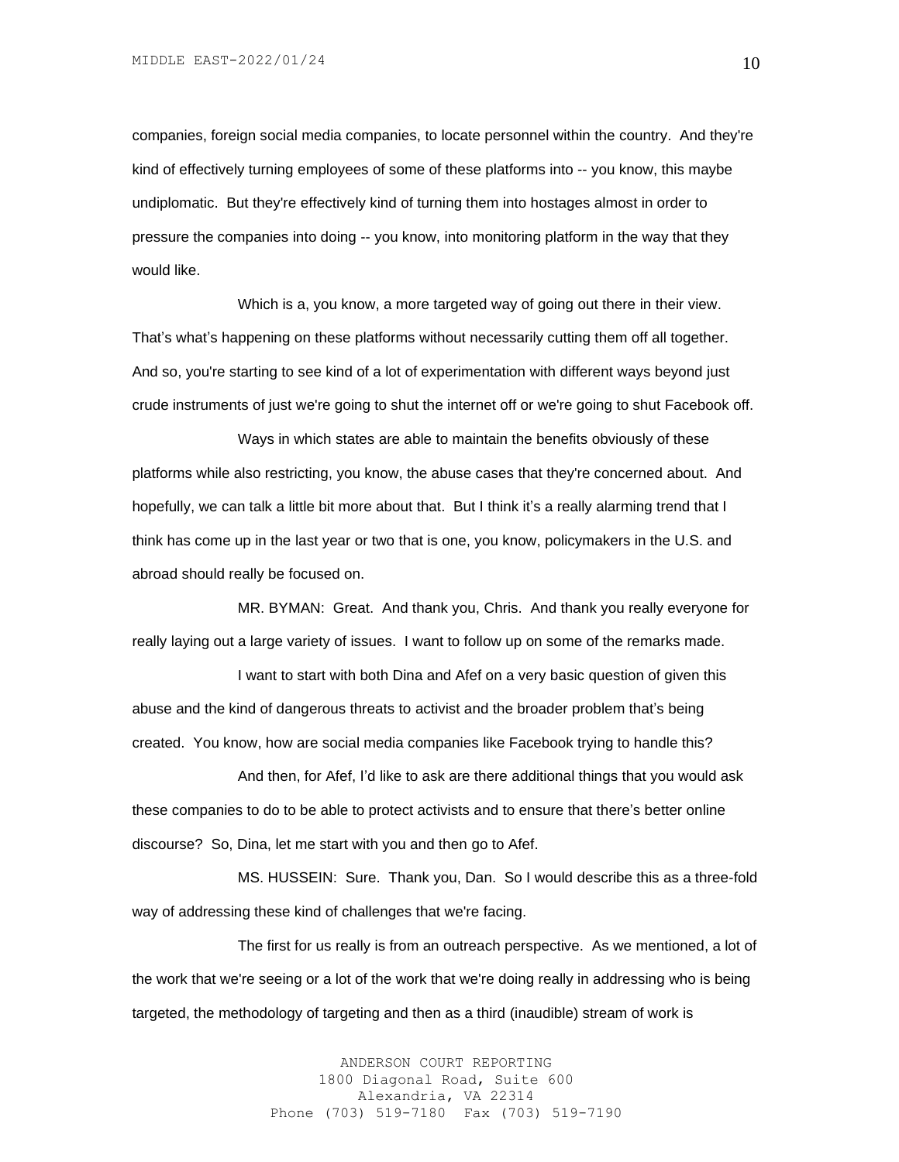companies, foreign social media companies, to locate personnel within the country. And they're kind of effectively turning employees of some of these platforms into -- you know, this maybe undiplomatic. But they're effectively kind of turning them into hostages almost in order to pressure the companies into doing -- you know, into monitoring platform in the way that they would like.

Which is a, you know, a more targeted way of going out there in their view. That's what's happening on these platforms without necessarily cutting them off all together. And so, you're starting to see kind of a lot of experimentation with different ways beyond just crude instruments of just we're going to shut the internet off or we're going to shut Facebook off.

Ways in which states are able to maintain the benefits obviously of these platforms while also restricting, you know, the abuse cases that they're concerned about. And hopefully, we can talk a little bit more about that. But I think it's a really alarming trend that I think has come up in the last year or two that is one, you know, policymakers in the U.S. and abroad should really be focused on.

MR. BYMAN: Great. And thank you, Chris. And thank you really everyone for really laying out a large variety of issues. I want to follow up on some of the remarks made.

I want to start with both Dina and Afef on a very basic question of given this abuse and the kind of dangerous threats to activist and the broader problem that's being created. You know, how are social media companies like Facebook trying to handle this?

And then, for Afef, I'd like to ask are there additional things that you would ask these companies to do to be able to protect activists and to ensure that there's better online discourse? So, Dina, let me start with you and then go to Afef.

MS. HUSSEIN: Sure. Thank you, Dan. So I would describe this as a three-fold way of addressing these kind of challenges that we're facing.

The first for us really is from an outreach perspective. As we mentioned, a lot of the work that we're seeing or a lot of the work that we're doing really in addressing who is being targeted, the methodology of targeting and then as a third (inaudible) stream of work is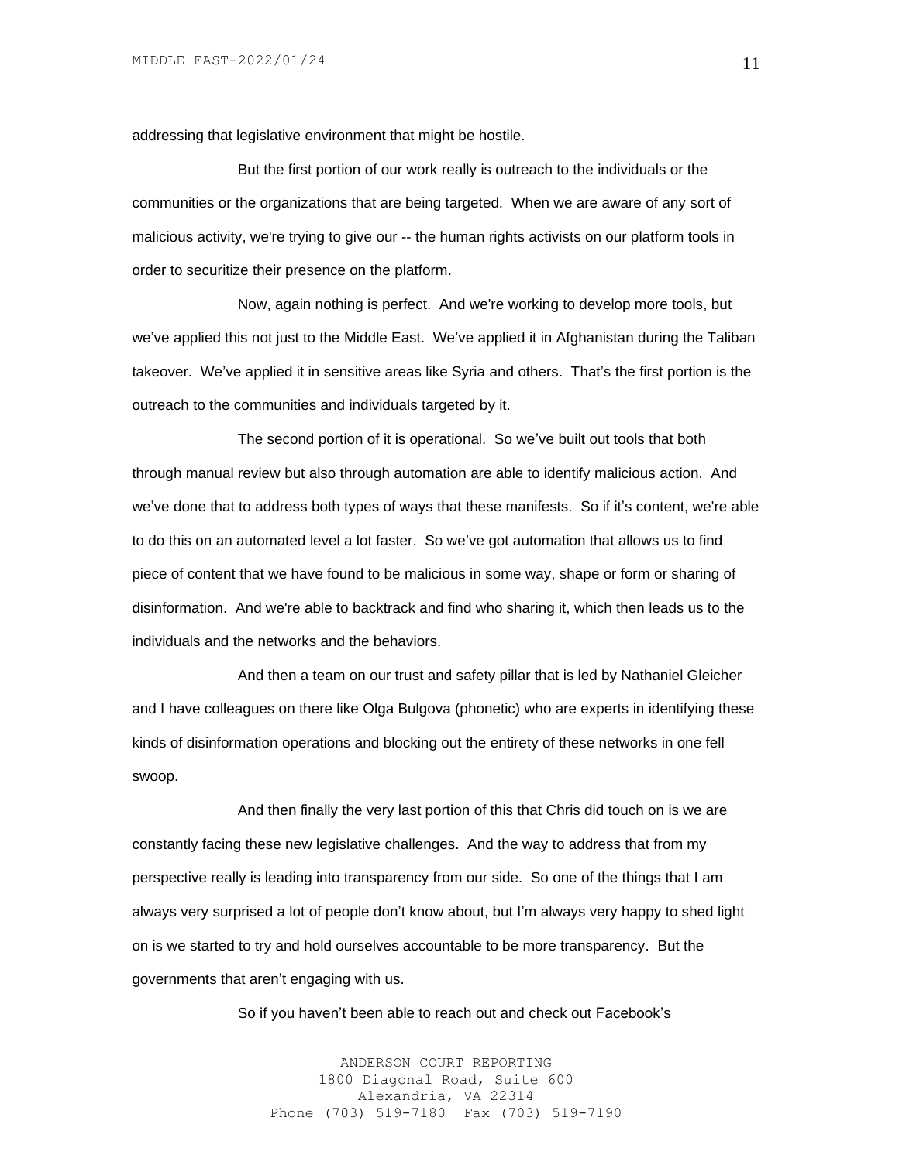addressing that legislative environment that might be hostile.

But the first portion of our work really is outreach to the individuals or the communities or the organizations that are being targeted. When we are aware of any sort of malicious activity, we're trying to give our -- the human rights activists on our platform tools in order to securitize their presence on the platform.

Now, again nothing is perfect. And we're working to develop more tools, but we've applied this not just to the Middle East. We've applied it in Afghanistan during the Taliban takeover. We've applied it in sensitive areas like Syria and others. That's the first portion is the outreach to the communities and individuals targeted by it.

The second portion of it is operational. So we've built out tools that both through manual review but also through automation are able to identify malicious action. And we've done that to address both types of ways that these manifests. So if it's content, we're able to do this on an automated level a lot faster. So we've got automation that allows us to find piece of content that we have found to be malicious in some way, shape or form or sharing of disinformation. And we're able to backtrack and find who sharing it, which then leads us to the individuals and the networks and the behaviors.

And then a team on our trust and safety pillar that is led by Nathaniel Gleicher and I have colleagues on there like Olga Bulgova (phonetic) who are experts in identifying these kinds of disinformation operations and blocking out the entirety of these networks in one fell swoop.

And then finally the very last portion of this that Chris did touch on is we are constantly facing these new legislative challenges. And the way to address that from my perspective really is leading into transparency from our side. So one of the things that I am always very surprised a lot of people don't know about, but I'm always very happy to shed light on is we started to try and hold ourselves accountable to be more transparency. But the governments that aren't engaging with us.

So if you haven't been able to reach out and check out Facebook's

ANDERSON COURT REPORTING 1800 Diagonal Road, Suite 600 Alexandria, VA 22314 Phone (703) 519-7180 Fax (703) 519-7190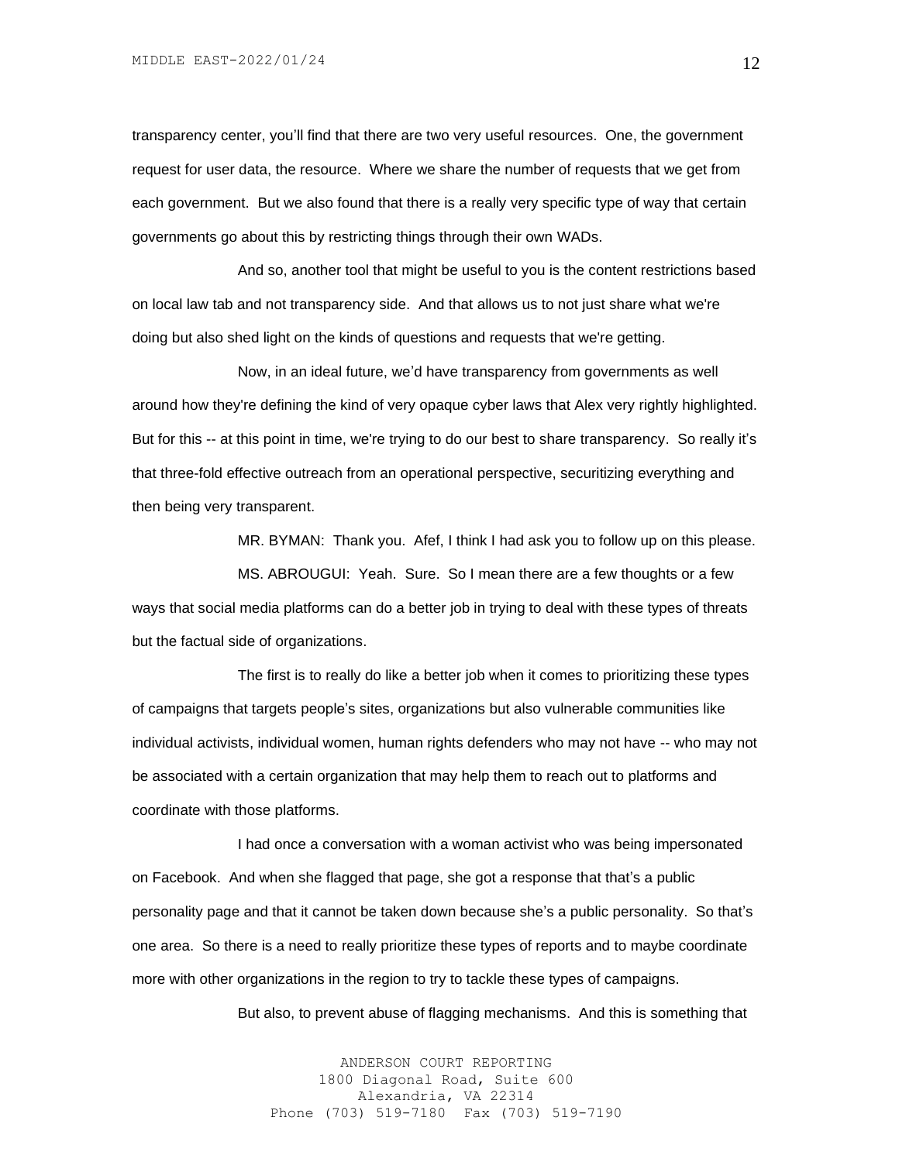transparency center, you'll find that there are two very useful resources. One, the government request for user data, the resource. Where we share the number of requests that we get from each government. But we also found that there is a really very specific type of way that certain governments go about this by restricting things through their own WADs.

And so, another tool that might be useful to you is the content restrictions based on local law tab and not transparency side. And that allows us to not just share what we're doing but also shed light on the kinds of questions and requests that we're getting.

Now, in an ideal future, we'd have transparency from governments as well around how they're defining the kind of very opaque cyber laws that Alex very rightly highlighted. But for this -- at this point in time, we're trying to do our best to share transparency. So really it's that three-fold effective outreach from an operational perspective, securitizing everything and then being very transparent.

MR. BYMAN: Thank you. Afef, I think I had ask you to follow up on this please.

MS. ABROUGUI: Yeah. Sure. So I mean there are a few thoughts or a few ways that social media platforms can do a better job in trying to deal with these types of threats but the factual side of organizations.

The first is to really do like a better job when it comes to prioritizing these types of campaigns that targets people's sites, organizations but also vulnerable communities like individual activists, individual women, human rights defenders who may not have -- who may not be associated with a certain organization that may help them to reach out to platforms and coordinate with those platforms.

I had once a conversation with a woman activist who was being impersonated on Facebook. And when she flagged that page, she got a response that that's a public personality page and that it cannot be taken down because she's a public personality. So that's one area. So there is a need to really prioritize these types of reports and to maybe coordinate more with other organizations in the region to try to tackle these types of campaigns.

But also, to prevent abuse of flagging mechanisms. And this is something that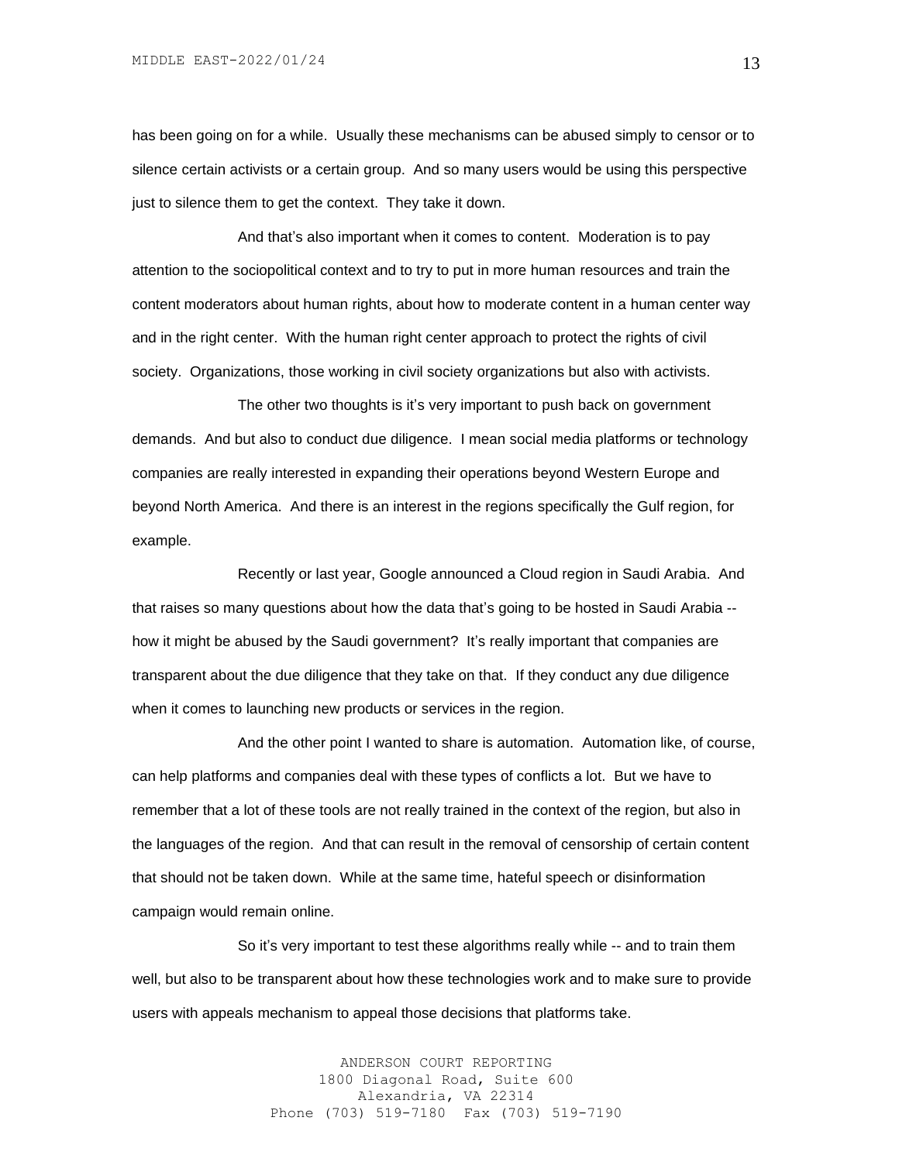has been going on for a while. Usually these mechanisms can be abused simply to censor or to silence certain activists or a certain group. And so many users would be using this perspective just to silence them to get the context. They take it down.

And that's also important when it comes to content. Moderation is to pay attention to the sociopolitical context and to try to put in more human resources and train the content moderators about human rights, about how to moderate content in a human center way and in the right center. With the human right center approach to protect the rights of civil society. Organizations, those working in civil society organizations but also with activists.

The other two thoughts is it's very important to push back on government demands. And but also to conduct due diligence. I mean social media platforms or technology companies are really interested in expanding their operations beyond Western Europe and beyond North America. And there is an interest in the regions specifically the Gulf region, for example.

Recently or last year, Google announced a Cloud region in Saudi Arabia. And that raises so many questions about how the data that's going to be hosted in Saudi Arabia - how it might be abused by the Saudi government? It's really important that companies are transparent about the due diligence that they take on that. If they conduct any due diligence when it comes to launching new products or services in the region.

And the other point I wanted to share is automation. Automation like, of course, can help platforms and companies deal with these types of conflicts a lot. But we have to remember that a lot of these tools are not really trained in the context of the region, but also in the languages of the region. And that can result in the removal of censorship of certain content that should not be taken down. While at the same time, hateful speech or disinformation campaign would remain online.

So it's very important to test these algorithms really while -- and to train them well, but also to be transparent about how these technologies work and to make sure to provide users with appeals mechanism to appeal those decisions that platforms take.

> ANDERSON COURT REPORTING 1800 Diagonal Road, Suite 600 Alexandria, VA 22314 Phone (703) 519-7180 Fax (703) 519-7190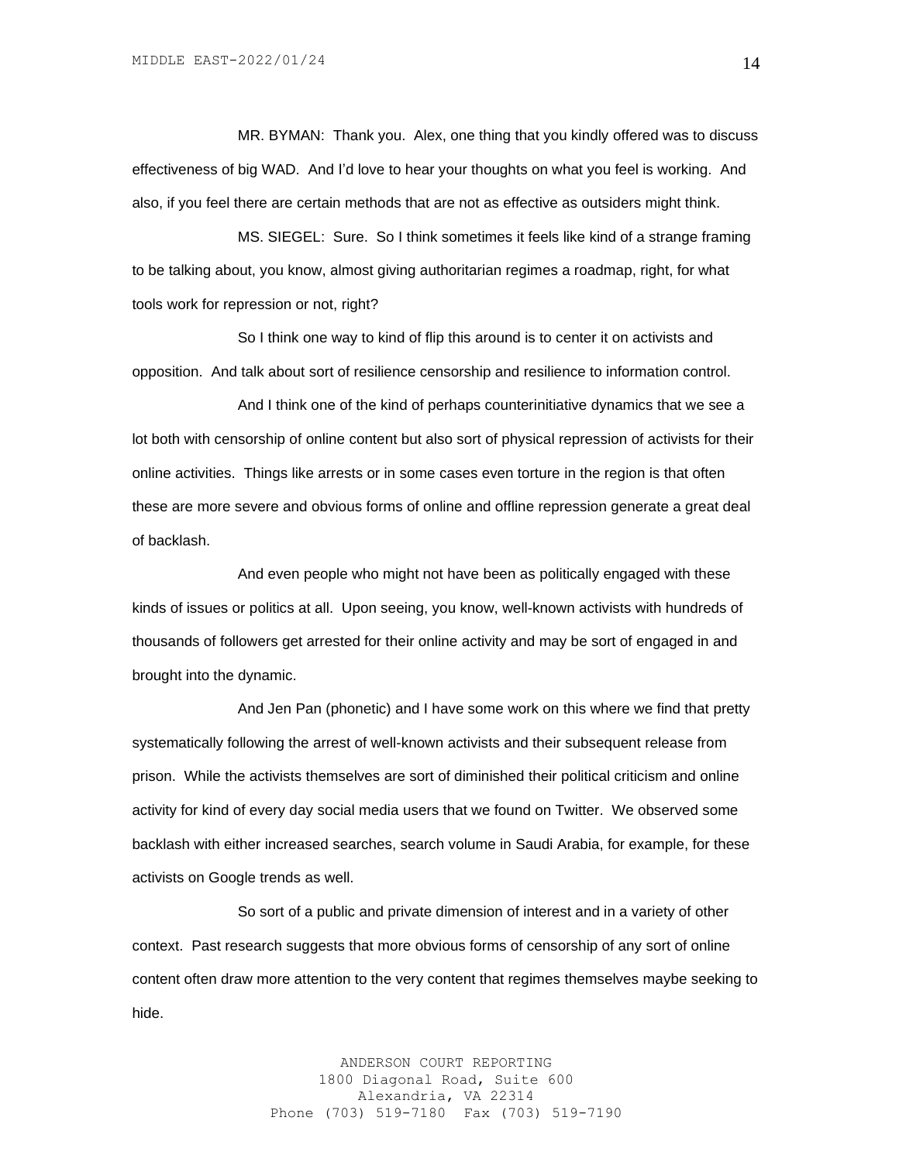MR. BYMAN: Thank you. Alex, one thing that you kindly offered was to discuss effectiveness of big WAD. And I'd love to hear your thoughts on what you feel is working. And also, if you feel there are certain methods that are not as effective as outsiders might think.

MS. SIEGEL: Sure. So I think sometimes it feels like kind of a strange framing to be talking about, you know, almost giving authoritarian regimes a roadmap, right, for what tools work for repression or not, right?

So I think one way to kind of flip this around is to center it on activists and opposition. And talk about sort of resilience censorship and resilience to information control.

And I think one of the kind of perhaps counterinitiative dynamics that we see a lot both with censorship of online content but also sort of physical repression of activists for their online activities. Things like arrests or in some cases even torture in the region is that often these are more severe and obvious forms of online and offline repression generate a great deal of backlash.

And even people who might not have been as politically engaged with these kinds of issues or politics at all. Upon seeing, you know, well-known activists with hundreds of thousands of followers get arrested for their online activity and may be sort of engaged in and brought into the dynamic.

And Jen Pan (phonetic) and I have some work on this where we find that pretty systematically following the arrest of well-known activists and their subsequent release from prison. While the activists themselves are sort of diminished their political criticism and online activity for kind of every day social media users that we found on Twitter. We observed some backlash with either increased searches, search volume in Saudi Arabia, for example, for these activists on Google trends as well.

So sort of a public and private dimension of interest and in a variety of other context. Past research suggests that more obvious forms of censorship of any sort of online content often draw more attention to the very content that regimes themselves maybe seeking to hide.

> ANDERSON COURT REPORTING 1800 Diagonal Road, Suite 600 Alexandria, VA 22314 Phone (703) 519-7180 Fax (703) 519-7190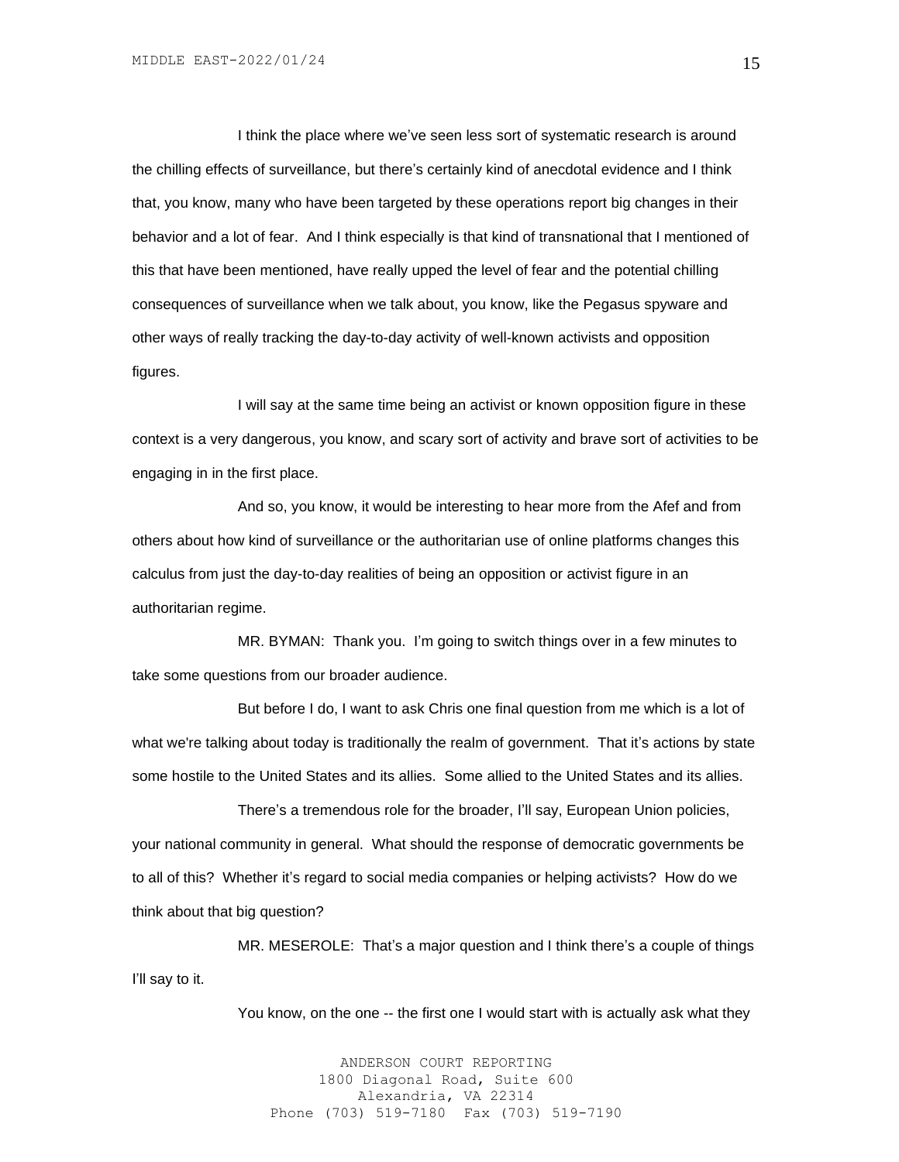I think the place where we've seen less sort of systematic research is around the chilling effects of surveillance, but there's certainly kind of anecdotal evidence and I think that, you know, many who have been targeted by these operations report big changes in their behavior and a lot of fear. And I think especially is that kind of transnational that I mentioned of this that have been mentioned, have really upped the level of fear and the potential chilling consequences of surveillance when we talk about, you know, like the Pegasus spyware and other ways of really tracking the day-to-day activity of well-known activists and opposition figures.

I will say at the same time being an activist or known opposition figure in these context is a very dangerous, you know, and scary sort of activity and brave sort of activities to be engaging in in the first place.

And so, you know, it would be interesting to hear more from the Afef and from others about how kind of surveillance or the authoritarian use of online platforms changes this calculus from just the day-to-day realities of being an opposition or activist figure in an authoritarian regime.

MR. BYMAN: Thank you. I'm going to switch things over in a few minutes to take some questions from our broader audience.

But before I do, I want to ask Chris one final question from me which is a lot of what we're talking about today is traditionally the realm of government. That it's actions by state some hostile to the United States and its allies. Some allied to the United States and its allies.

There's a tremendous role for the broader, I'll say, European Union policies, your national community in general. What should the response of democratic governments be to all of this? Whether it's regard to social media companies or helping activists? How do we think about that big question?

MR. MESEROLE: That's a major question and I think there's a couple of things I'll say to it.

You know, on the one -- the first one I would start with is actually ask what they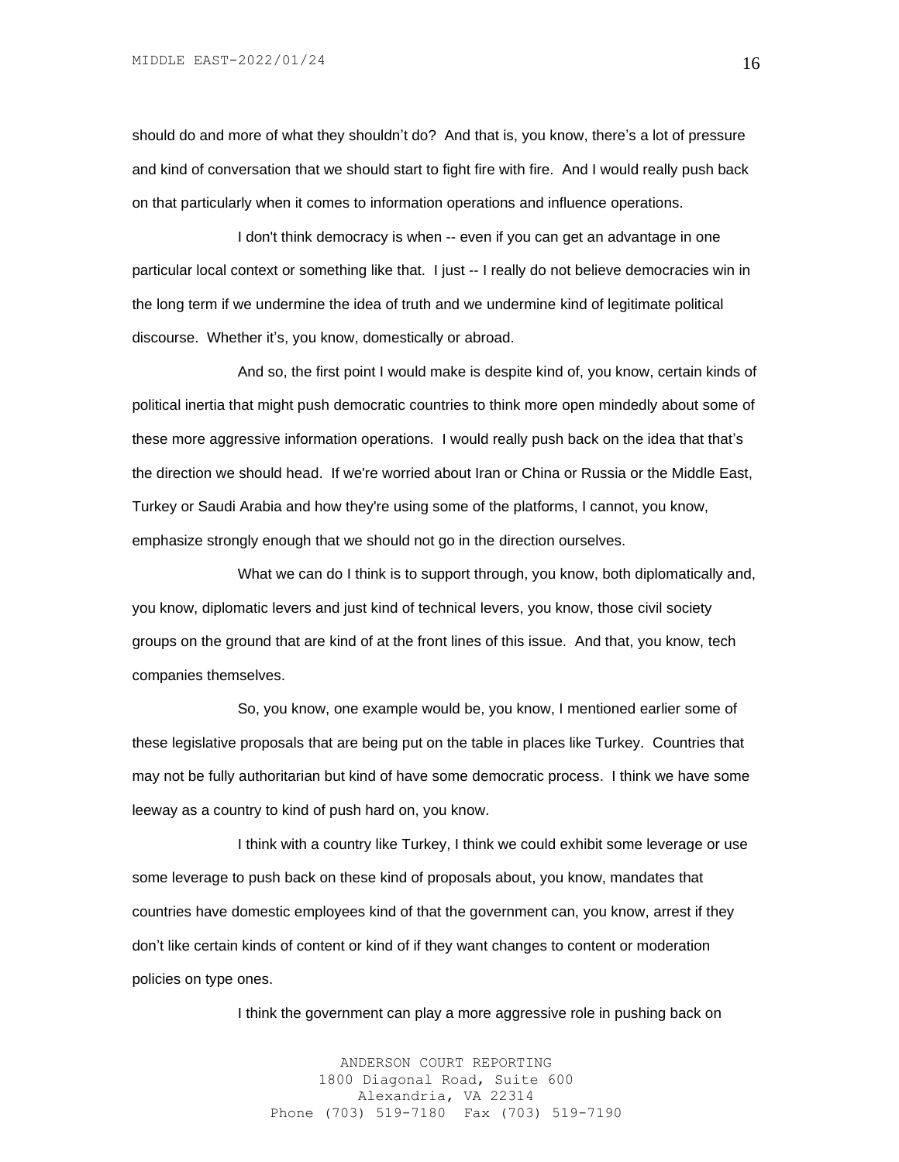should do and more of what they shouldn't do? And that is, you know, there's a lot of pressure and kind of conversation that we should start to fight fire with fire. And I would really push back on that particularly when it comes to information operations and influence operations.

I don't think democracy is when -- even if you can get an advantage in one particular local context or something like that. I just -- I really do not believe democracies win in the long term if we undermine the idea of truth and we undermine kind of legitimate political discourse. Whether it's, you know, domestically or abroad.

And so, the first point I would make is despite kind of, you know, certain kinds of political inertia that might push democratic countries to think more open mindedly about some of these more aggressive information operations. I would really push back on the idea that that's the direction we should head. If we're worried about Iran or China or Russia or the Middle East, Turkey or Saudi Arabia and how they're using some of the platforms, I cannot, you know, emphasize strongly enough that we should not go in the direction ourselves.

What we can do I think is to support through, you know, both diplomatically and, you know, diplomatic levers and just kind of technical levers, you know, those civil society groups on the ground that are kind of at the front lines of this issue. And that, you know, tech companies themselves.

So, you know, one example would be, you know, I mentioned earlier some of these legislative proposals that are being put on the table in places like Turkey. Countries that may not be fully authoritarian but kind of have some democratic process. I think we have some leeway as a country to kind of push hard on, you know.

I think with a country like Turkey, I think we could exhibit some leverage or use some leverage to push back on these kind of proposals about, you know, mandates that countries have domestic employees kind of that the government can, you know, arrest if they don't like certain kinds of content or kind of if they want changes to content or moderation policies on type ones.

I think the government can play a more aggressive role in pushing back on

ANDERSON COURT REPORTING 1800 Diagonal Road, Suite 600 Alexandria, VA 22314 Phone (703) 519-7180 Fax (703) 519-7190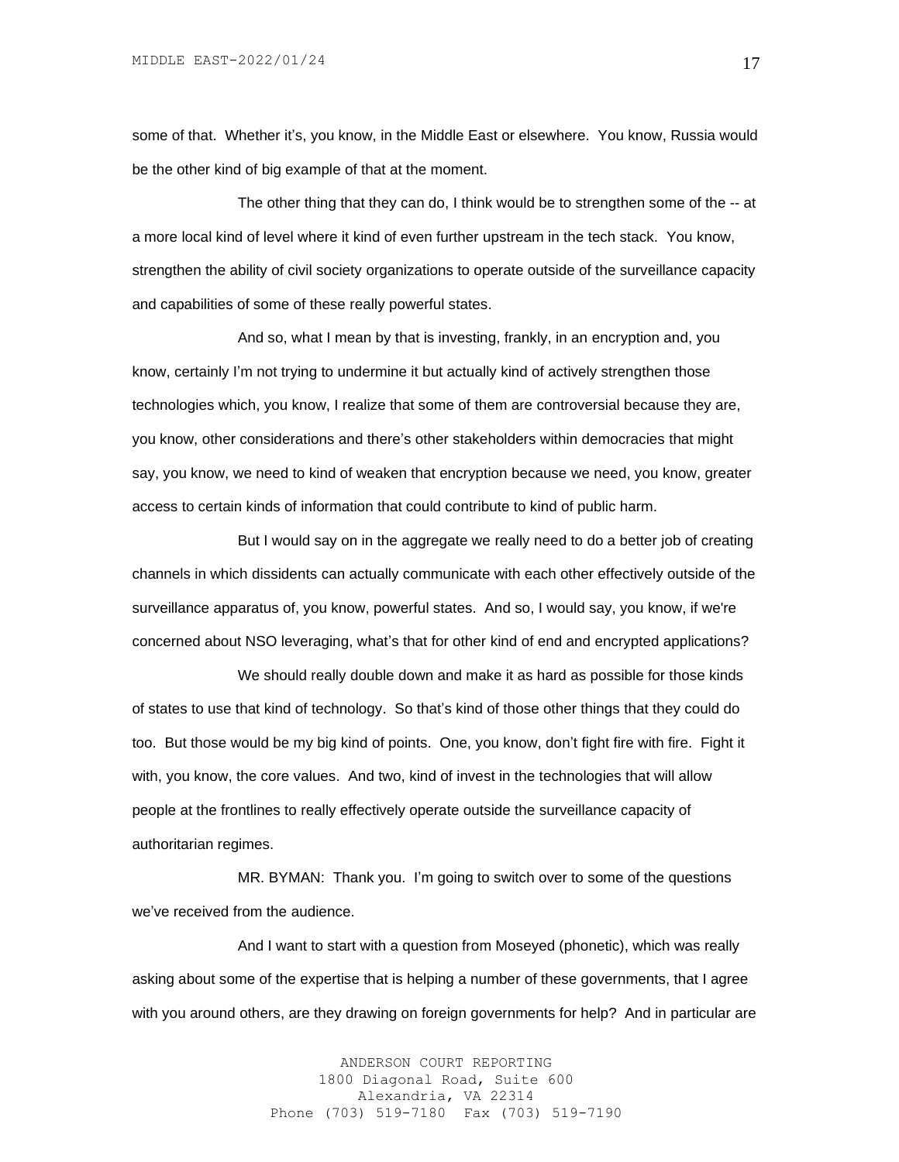some of that. Whether it's, you know, in the Middle East or elsewhere. You know, Russia would be the other kind of big example of that at the moment.

The other thing that they can do, I think would be to strengthen some of the -- at a more local kind of level where it kind of even further upstream in the tech stack. You know, strengthen the ability of civil society organizations to operate outside of the surveillance capacity and capabilities of some of these really powerful states.

And so, what I mean by that is investing, frankly, in an encryption and, you know, certainly I'm not trying to undermine it but actually kind of actively strengthen those technologies which, you know, I realize that some of them are controversial because they are, you know, other considerations and there's other stakeholders within democracies that might say, you know, we need to kind of weaken that encryption because we need, you know, greater access to certain kinds of information that could contribute to kind of public harm.

But I would say on in the aggregate we really need to do a better job of creating channels in which dissidents can actually communicate with each other effectively outside of the surveillance apparatus of, you know, powerful states. And so, I would say, you know, if we're concerned about NSO leveraging, what's that for other kind of end and encrypted applications?

We should really double down and make it as hard as possible for those kinds of states to use that kind of technology. So that's kind of those other things that they could do too. But those would be my big kind of points. One, you know, don't fight fire with fire. Fight it with, you know, the core values. And two, kind of invest in the technologies that will allow people at the frontlines to really effectively operate outside the surveillance capacity of authoritarian regimes.

MR. BYMAN: Thank you. I'm going to switch over to some of the questions we've received from the audience.

And I want to start with a question from Moseyed (phonetic), which was really asking about some of the expertise that is helping a number of these governments, that I agree with you around others, are they drawing on foreign governments for help? And in particular are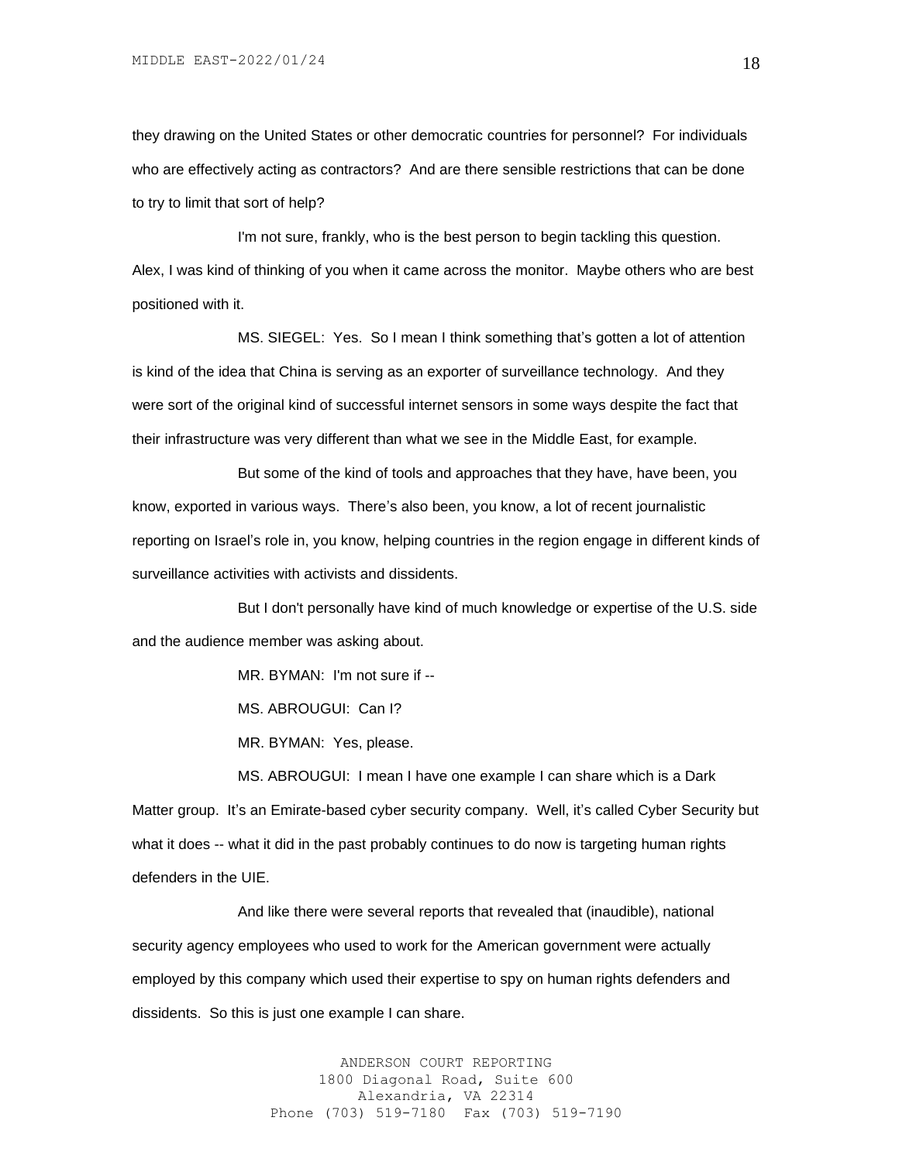they drawing on the United States or other democratic countries for personnel? For individuals who are effectively acting as contractors? And are there sensible restrictions that can be done to try to limit that sort of help?

I'm not sure, frankly, who is the best person to begin tackling this question. Alex, I was kind of thinking of you when it came across the monitor. Maybe others who are best positioned with it.

MS. SIEGEL: Yes. So I mean I think something that's gotten a lot of attention is kind of the idea that China is serving as an exporter of surveillance technology. And they were sort of the original kind of successful internet sensors in some ways despite the fact that their infrastructure was very different than what we see in the Middle East, for example.

But some of the kind of tools and approaches that they have, have been, you know, exported in various ways. There's also been, you know, a lot of recent journalistic reporting on Israel's role in, you know, helping countries in the region engage in different kinds of surveillance activities with activists and dissidents.

But I don't personally have kind of much knowledge or expertise of the U.S. side and the audience member was asking about.

MR. BYMAN: I'm not sure if --

MS. ABROUGUI: Can I?

MR. BYMAN: Yes, please.

MS. ABROUGUI: I mean I have one example I can share which is a Dark Matter group. It's an Emirate-based cyber security company. Well, it's called Cyber Security but what it does -- what it did in the past probably continues to do now is targeting human rights defenders in the UIE.

And like there were several reports that revealed that (inaudible), national security agency employees who used to work for the American government were actually employed by this company which used their expertise to spy on human rights defenders and dissidents. So this is just one example I can share.

> ANDERSON COURT REPORTING 1800 Diagonal Road, Suite 600 Alexandria, VA 22314 Phone (703) 519-7180 Fax (703) 519-7190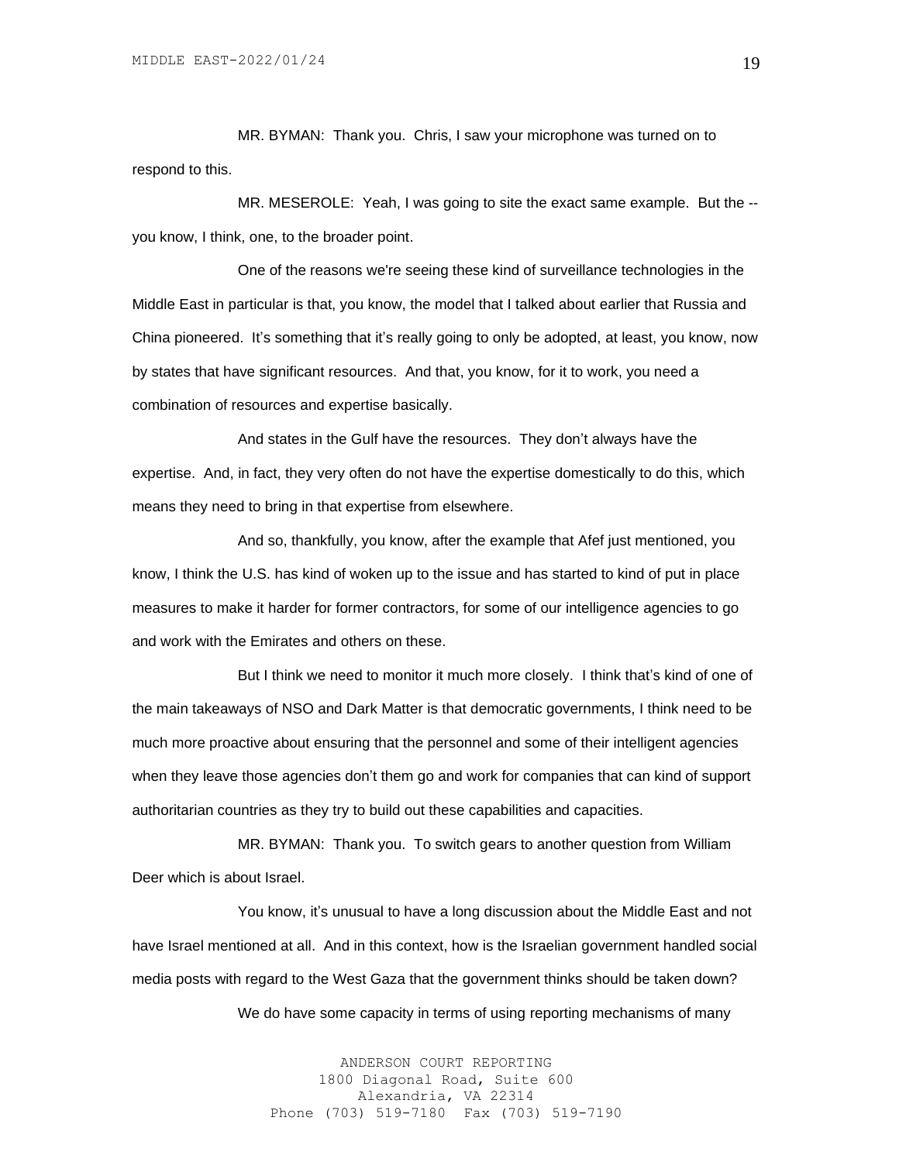MR. BYMAN: Thank you. Chris, I saw your microphone was turned on to respond to this.

MR. MESEROLE: Yeah, I was going to site the exact same example. But the - you know, I think, one, to the broader point.

One of the reasons we're seeing these kind of surveillance technologies in the Middle East in particular is that, you know, the model that I talked about earlier that Russia and China pioneered. It's something that it's really going to only be adopted, at least, you know, now by states that have significant resources. And that, you know, for it to work, you need a combination of resources and expertise basically.

And states in the Gulf have the resources. They don't always have the expertise. And, in fact, they very often do not have the expertise domestically to do this, which means they need to bring in that expertise from elsewhere.

And so, thankfully, you know, after the example that Afef just mentioned, you know, I think the U.S. has kind of woken up to the issue and has started to kind of put in place measures to make it harder for former contractors, for some of our intelligence agencies to go and work with the Emirates and others on these.

But I think we need to monitor it much more closely. I think that's kind of one of the main takeaways of NSO and Dark Matter is that democratic governments, I think need to be much more proactive about ensuring that the personnel and some of their intelligent agencies when they leave those agencies don't them go and work for companies that can kind of support authoritarian countries as they try to build out these capabilities and capacities.

MR. BYMAN: Thank you. To switch gears to another question from William Deer which is about Israel.

You know, it's unusual to have a long discussion about the Middle East and not have Israel mentioned at all. And in this context, how is the Israelian government handled social media posts with regard to the West Gaza that the government thinks should be taken down?

We do have some capacity in terms of using reporting mechanisms of many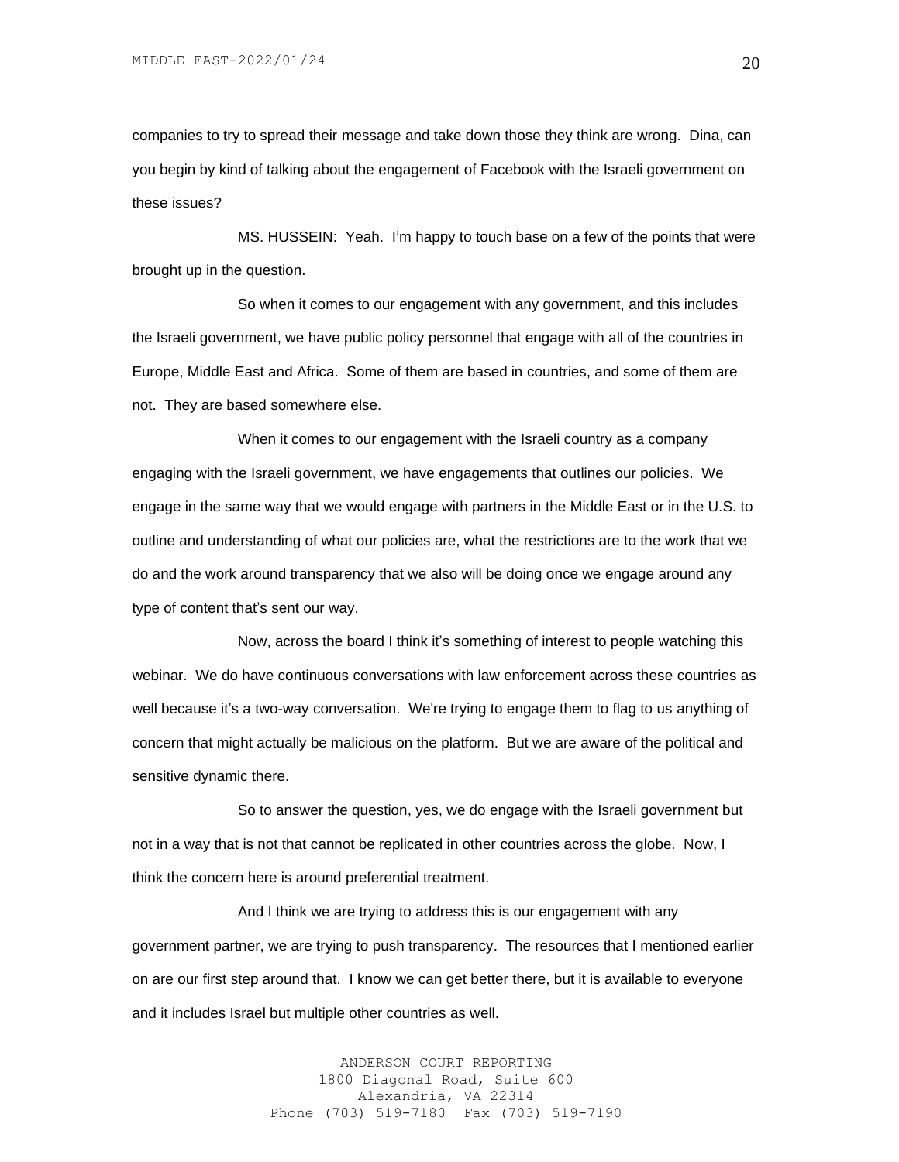companies to try to spread their message and take down those they think are wrong. Dina, can you begin by kind of talking about the engagement of Facebook with the Israeli government on these issues?

MS. HUSSEIN: Yeah. I'm happy to touch base on a few of the points that were brought up in the question.

So when it comes to our engagement with any government, and this includes the Israeli government, we have public policy personnel that engage with all of the countries in Europe, Middle East and Africa. Some of them are based in countries, and some of them are not. They are based somewhere else.

When it comes to our engagement with the Israeli country as a company engaging with the Israeli government, we have engagements that outlines our policies. We engage in the same way that we would engage with partners in the Middle East or in the U.S. to outline and understanding of what our policies are, what the restrictions are to the work that we do and the work around transparency that we also will be doing once we engage around any type of content that's sent our way.

Now, across the board I think it's something of interest to people watching this webinar. We do have continuous conversations with law enforcement across these countries as well because it's a two-way conversation. We're trying to engage them to flag to us anything of concern that might actually be malicious on the platform. But we are aware of the political and sensitive dynamic there.

So to answer the question, yes, we do engage with the Israeli government but not in a way that is not that cannot be replicated in other countries across the globe. Now, I think the concern here is around preferential treatment.

And I think we are trying to address this is our engagement with any government partner, we are trying to push transparency. The resources that I mentioned earlier on are our first step around that. I know we can get better there, but it is available to everyone and it includes Israel but multiple other countries as well.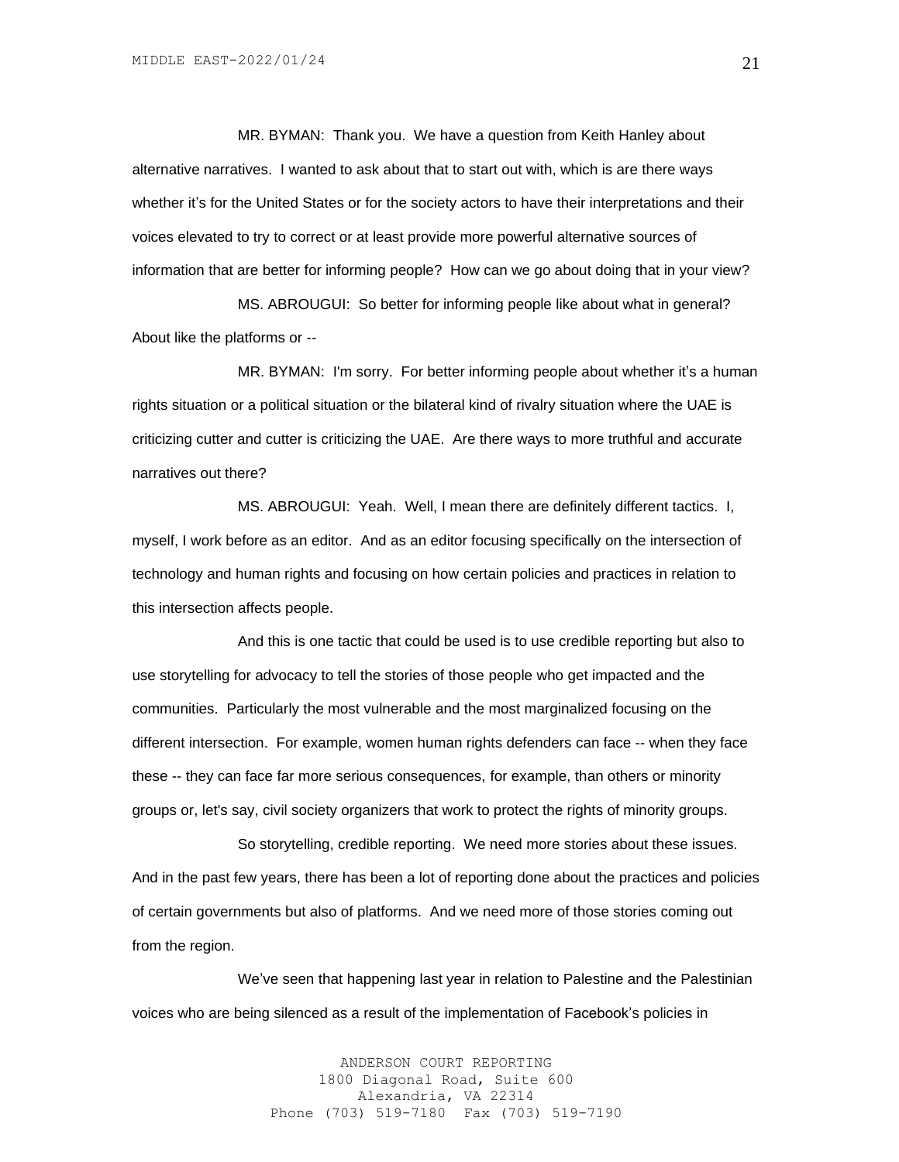MR. BYMAN: Thank you. We have a question from Keith Hanley about alternative narratives. I wanted to ask about that to start out with, which is are there ways whether it's for the United States or for the society actors to have their interpretations and their voices elevated to try to correct or at least provide more powerful alternative sources of information that are better for informing people? How can we go about doing that in your view?

MS. ABROUGUI: So better for informing people like about what in general? About like the platforms or --

MR. BYMAN: I'm sorry. For better informing people about whether it's a human rights situation or a political situation or the bilateral kind of rivalry situation where the UAE is criticizing cutter and cutter is criticizing the UAE. Are there ways to more truthful and accurate narratives out there?

MS. ABROUGUI: Yeah. Well, I mean there are definitely different tactics. I, myself, I work before as an editor. And as an editor focusing specifically on the intersection of technology and human rights and focusing on how certain policies and practices in relation to this intersection affects people.

And this is one tactic that could be used is to use credible reporting but also to use storytelling for advocacy to tell the stories of those people who get impacted and the communities. Particularly the most vulnerable and the most marginalized focusing on the different intersection. For example, women human rights defenders can face -- when they face these -- they can face far more serious consequences, for example, than others or minority groups or, let's say, civil society organizers that work to protect the rights of minority groups.

So storytelling, credible reporting. We need more stories about these issues. And in the past few years, there has been a lot of reporting done about the practices and policies of certain governments but also of platforms. And we need more of those stories coming out from the region.

We've seen that happening last year in relation to Palestine and the Palestinian voices who are being silenced as a result of the implementation of Facebook's policies in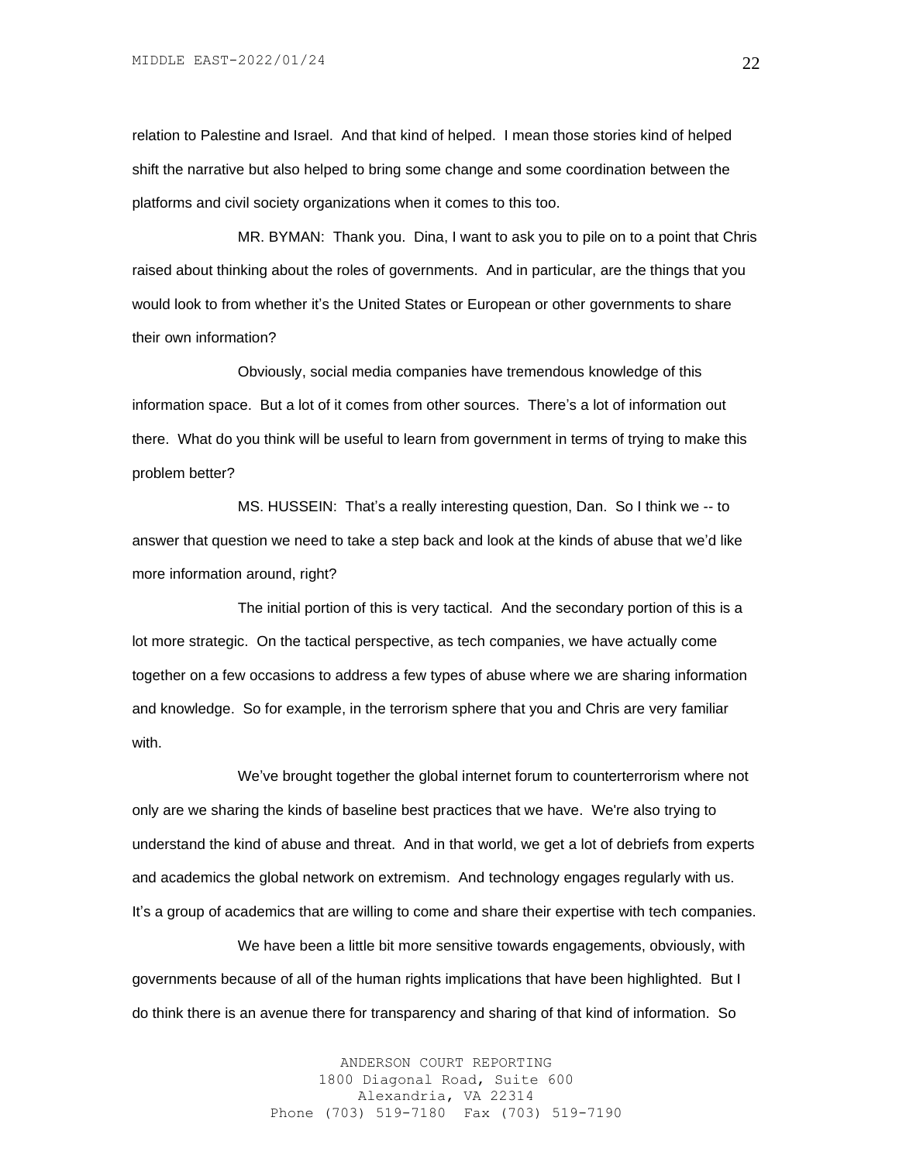relation to Palestine and Israel. And that kind of helped. I mean those stories kind of helped shift the narrative but also helped to bring some change and some coordination between the platforms and civil society organizations when it comes to this too.

MR. BYMAN: Thank you. Dina, I want to ask you to pile on to a point that Chris raised about thinking about the roles of governments. And in particular, are the things that you would look to from whether it's the United States or European or other governments to share their own information?

Obviously, social media companies have tremendous knowledge of this information space. But a lot of it comes from other sources. There's a lot of information out there. What do you think will be useful to learn from government in terms of trying to make this problem better?

MS. HUSSEIN: That's a really interesting question, Dan. So I think we -- to answer that question we need to take a step back and look at the kinds of abuse that we'd like more information around, right?

The initial portion of this is very tactical. And the secondary portion of this is a lot more strategic. On the tactical perspective, as tech companies, we have actually come together on a few occasions to address a few types of abuse where we are sharing information and knowledge. So for example, in the terrorism sphere that you and Chris are very familiar with.

We've brought together the global internet forum to counterterrorism where not only are we sharing the kinds of baseline best practices that we have. We're also trying to understand the kind of abuse and threat. And in that world, we get a lot of debriefs from experts and academics the global network on extremism. And technology engages regularly with us. It's a group of academics that are willing to come and share their expertise with tech companies.

We have been a little bit more sensitive towards engagements, obviously, with governments because of all of the human rights implications that have been highlighted. But I do think there is an avenue there for transparency and sharing of that kind of information. So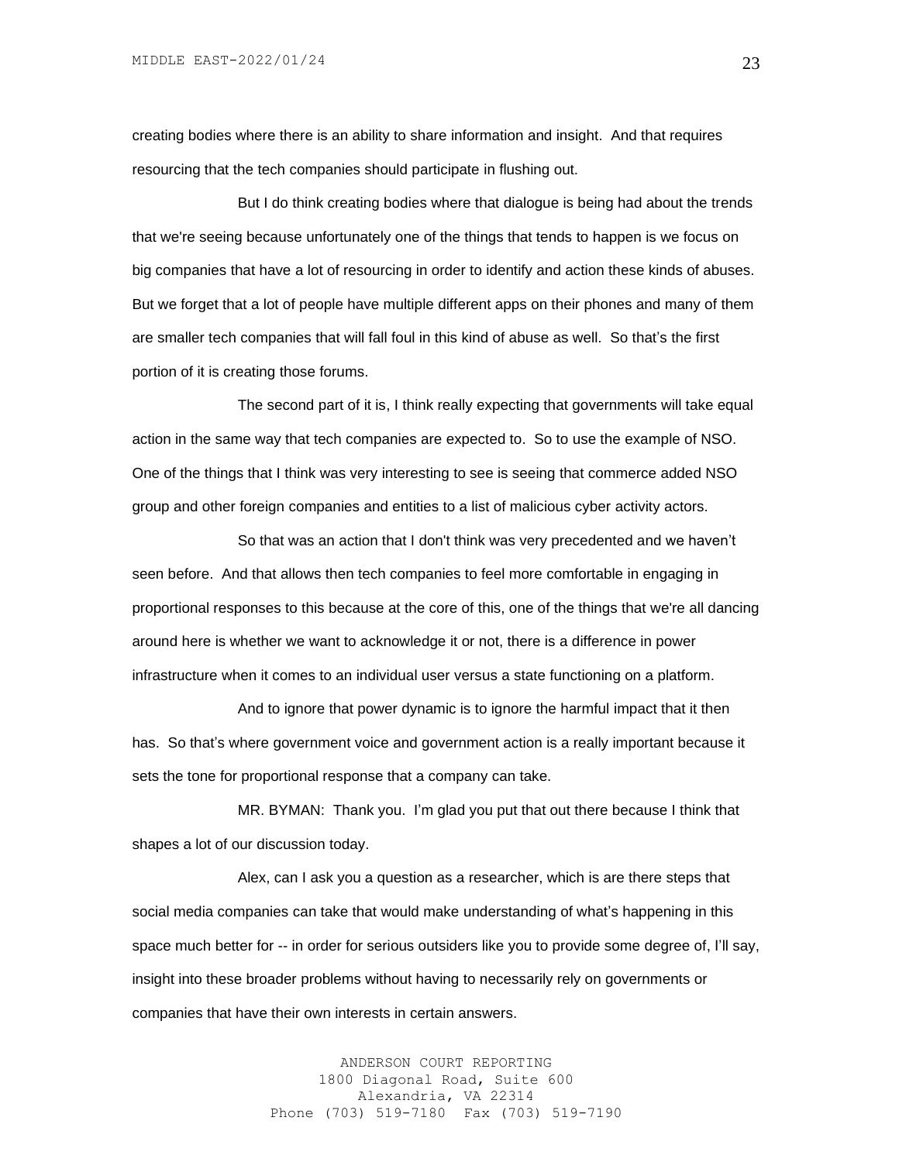creating bodies where there is an ability to share information and insight. And that requires resourcing that the tech companies should participate in flushing out.

But I do think creating bodies where that dialogue is being had about the trends that we're seeing because unfortunately one of the things that tends to happen is we focus on big companies that have a lot of resourcing in order to identify and action these kinds of abuses. But we forget that a lot of people have multiple different apps on their phones and many of them are smaller tech companies that will fall foul in this kind of abuse as well. So that's the first portion of it is creating those forums.

The second part of it is, I think really expecting that governments will take equal action in the same way that tech companies are expected to. So to use the example of NSO. One of the things that I think was very interesting to see is seeing that commerce added NSO group and other foreign companies and entities to a list of malicious cyber activity actors.

So that was an action that I don't think was very precedented and we haven't seen before. And that allows then tech companies to feel more comfortable in engaging in proportional responses to this because at the core of this, one of the things that we're all dancing around here is whether we want to acknowledge it or not, there is a difference in power infrastructure when it comes to an individual user versus a state functioning on a platform.

And to ignore that power dynamic is to ignore the harmful impact that it then has. So that's where government voice and government action is a really important because it sets the tone for proportional response that a company can take.

MR. BYMAN: Thank you. I'm glad you put that out there because I think that shapes a lot of our discussion today.

Alex, can I ask you a question as a researcher, which is are there steps that social media companies can take that would make understanding of what's happening in this space much better for -- in order for serious outsiders like you to provide some degree of, I'll say, insight into these broader problems without having to necessarily rely on governments or companies that have their own interests in certain answers.

> ANDERSON COURT REPORTING 1800 Diagonal Road, Suite 600 Alexandria, VA 22314 Phone (703) 519-7180 Fax (703) 519-7190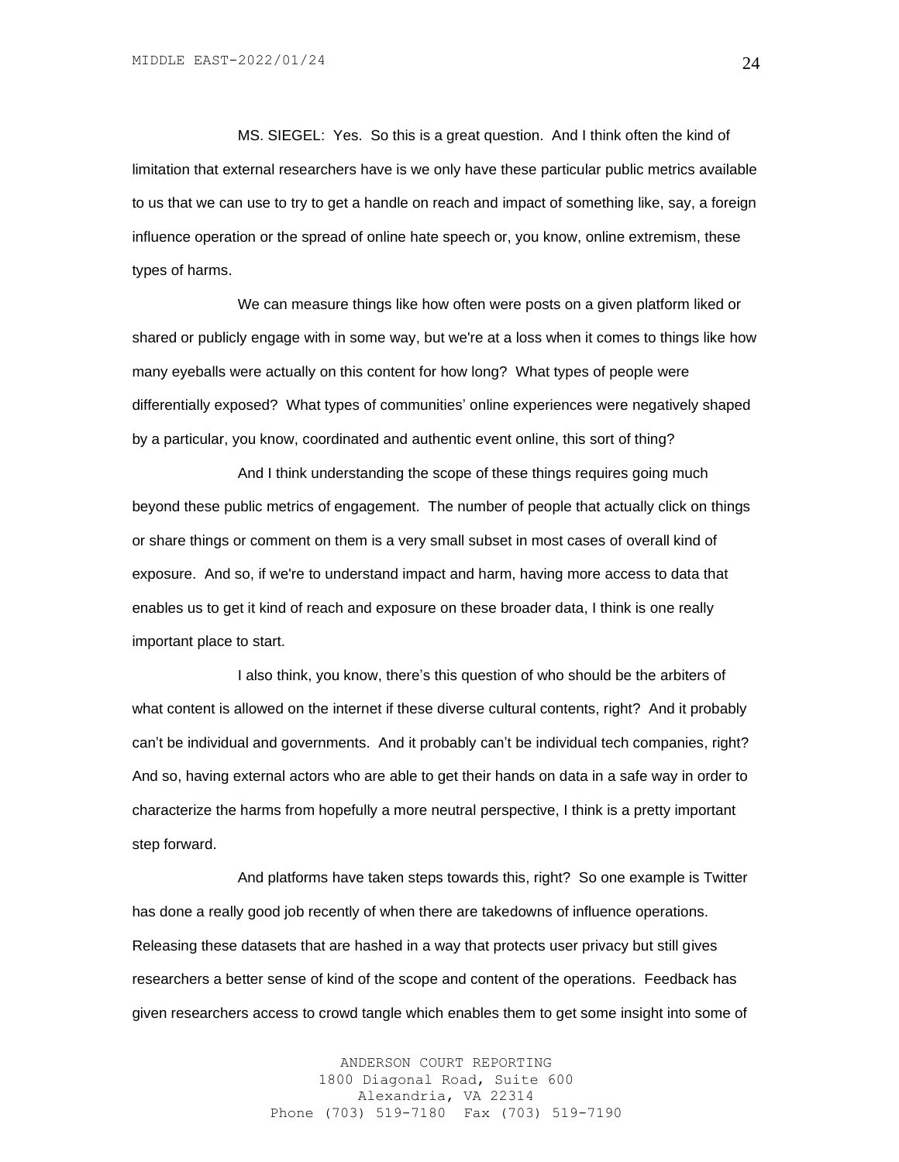MS. SIEGEL: Yes. So this is a great question. And I think often the kind of limitation that external researchers have is we only have these particular public metrics available to us that we can use to try to get a handle on reach and impact of something like, say, a foreign influence operation or the spread of online hate speech or, you know, online extremism, these types of harms.

We can measure things like how often were posts on a given platform liked or shared or publicly engage with in some way, but we're at a loss when it comes to things like how many eyeballs were actually on this content for how long? What types of people were differentially exposed? What types of communities' online experiences were negatively shaped by a particular, you know, coordinated and authentic event online, this sort of thing?

And I think understanding the scope of these things requires going much beyond these public metrics of engagement. The number of people that actually click on things or share things or comment on them is a very small subset in most cases of overall kind of exposure. And so, if we're to understand impact and harm, having more access to data that enables us to get it kind of reach and exposure on these broader data, I think is one really important place to start.

I also think, you know, there's this question of who should be the arbiters of what content is allowed on the internet if these diverse cultural contents, right? And it probably can't be individual and governments. And it probably can't be individual tech companies, right? And so, having external actors who are able to get their hands on data in a safe way in order to characterize the harms from hopefully a more neutral perspective, I think is a pretty important step forward.

And platforms have taken steps towards this, right? So one example is Twitter has done a really good job recently of when there are takedowns of influence operations. Releasing these datasets that are hashed in a way that protects user privacy but still gives researchers a better sense of kind of the scope and content of the operations. Feedback has given researchers access to crowd tangle which enables them to get some insight into some of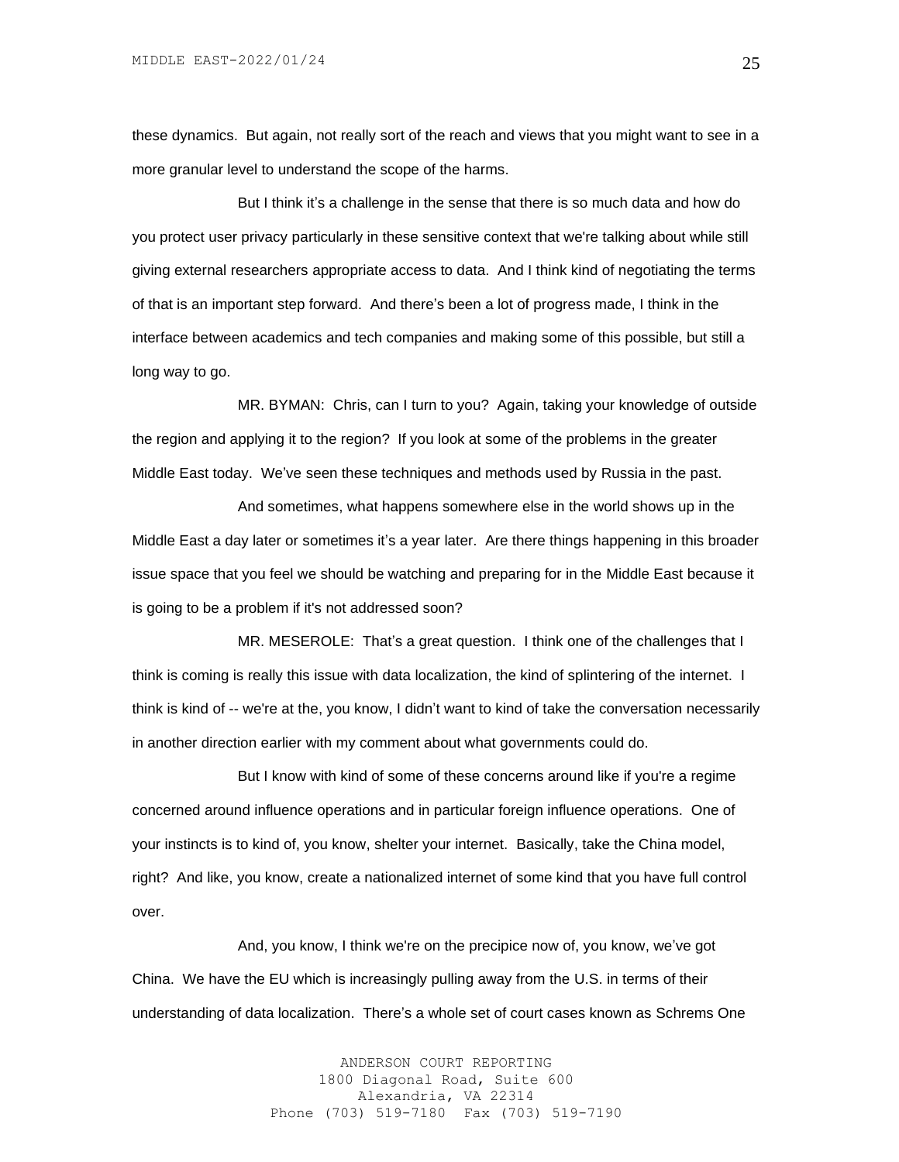these dynamics. But again, not really sort of the reach and views that you might want to see in a more granular level to understand the scope of the harms.

But I think it's a challenge in the sense that there is so much data and how do you protect user privacy particularly in these sensitive context that we're talking about while still giving external researchers appropriate access to data. And I think kind of negotiating the terms of that is an important step forward. And there's been a lot of progress made, I think in the interface between academics and tech companies and making some of this possible, but still a long way to go.

MR. BYMAN: Chris, can I turn to you? Again, taking your knowledge of outside the region and applying it to the region? If you look at some of the problems in the greater Middle East today. We've seen these techniques and methods used by Russia in the past.

And sometimes, what happens somewhere else in the world shows up in the Middle East a day later or sometimes it's a year later. Are there things happening in this broader issue space that you feel we should be watching and preparing for in the Middle East because it is going to be a problem if it's not addressed soon?

MR. MESEROLE: That's a great question. I think one of the challenges that I think is coming is really this issue with data localization, the kind of splintering of the internet. I think is kind of -- we're at the, you know, I didn't want to kind of take the conversation necessarily in another direction earlier with my comment about what governments could do.

But I know with kind of some of these concerns around like if you're a regime concerned around influence operations and in particular foreign influence operations. One of your instincts is to kind of, you know, shelter your internet. Basically, take the China model, right? And like, you know, create a nationalized internet of some kind that you have full control over.

And, you know, I think we're on the precipice now of, you know, we've got China. We have the EU which is increasingly pulling away from the U.S. in terms of their understanding of data localization. There's a whole set of court cases known as Schrems One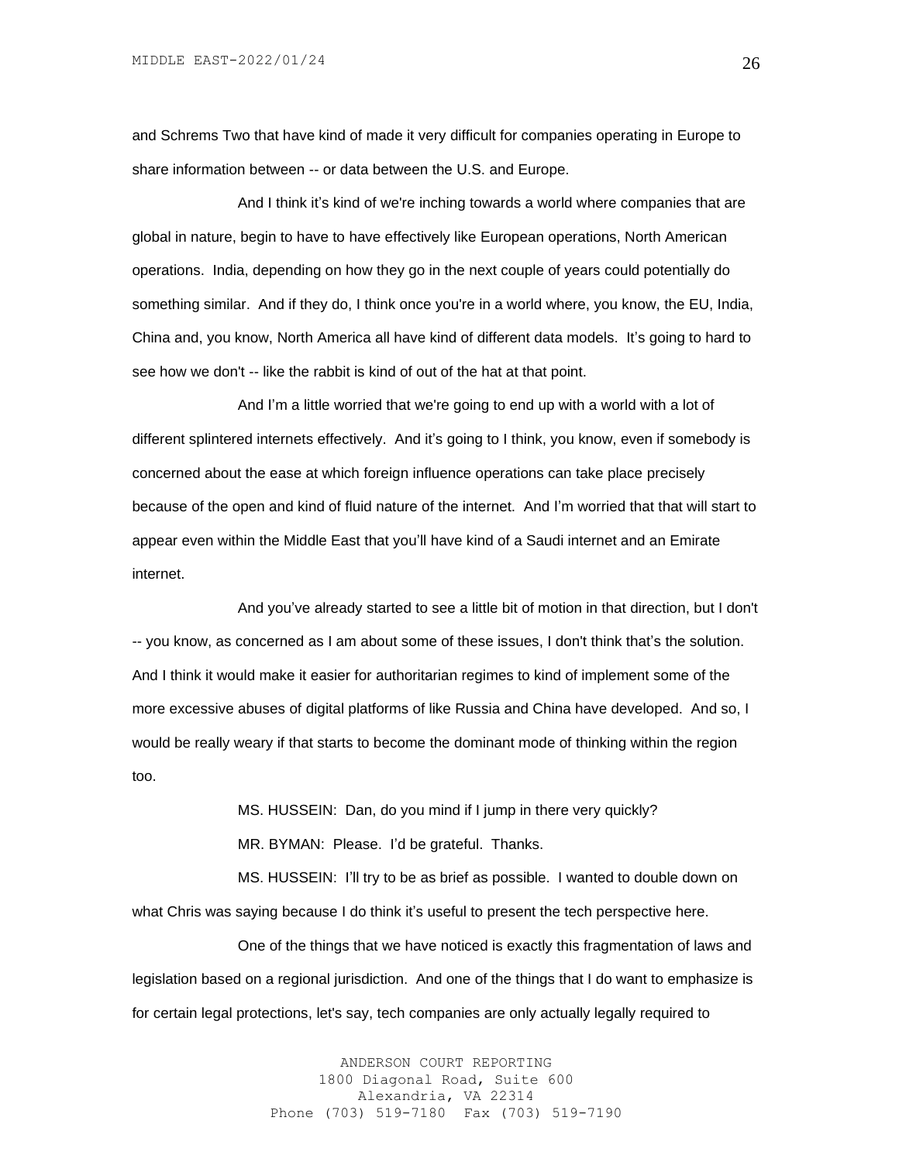and Schrems Two that have kind of made it very difficult for companies operating in Europe to share information between -- or data between the U.S. and Europe.

And I think it's kind of we're inching towards a world where companies that are global in nature, begin to have to have effectively like European operations, North American operations. India, depending on how they go in the next couple of years could potentially do something similar. And if they do, I think once you're in a world where, you know, the EU, India, China and, you know, North America all have kind of different data models. It's going to hard to see how we don't -- like the rabbit is kind of out of the hat at that point.

And I'm a little worried that we're going to end up with a world with a lot of different splintered internets effectively. And it's going to I think, you know, even if somebody is concerned about the ease at which foreign influence operations can take place precisely because of the open and kind of fluid nature of the internet. And I'm worried that that will start to appear even within the Middle East that you'll have kind of a Saudi internet and an Emirate internet.

And you've already started to see a little bit of motion in that direction, but I don't -- you know, as concerned as I am about some of these issues, I don't think that's the solution. And I think it would make it easier for authoritarian regimes to kind of implement some of the more excessive abuses of digital platforms of like Russia and China have developed. And so, I would be really weary if that starts to become the dominant mode of thinking within the region too.

> MS. HUSSEIN: Dan, do you mind if I jump in there very quickly? MR. BYMAN: Please. I'd be grateful. Thanks.

MS. HUSSEIN: I'll try to be as brief as possible. I wanted to double down on what Chris was saying because I do think it's useful to present the tech perspective here.

One of the things that we have noticed is exactly this fragmentation of laws and legislation based on a regional jurisdiction. And one of the things that I do want to emphasize is for certain legal protections, let's say, tech companies are only actually legally required to

> ANDERSON COURT REPORTING 1800 Diagonal Road, Suite 600 Alexandria, VA 22314 Phone (703) 519-7180 Fax (703) 519-7190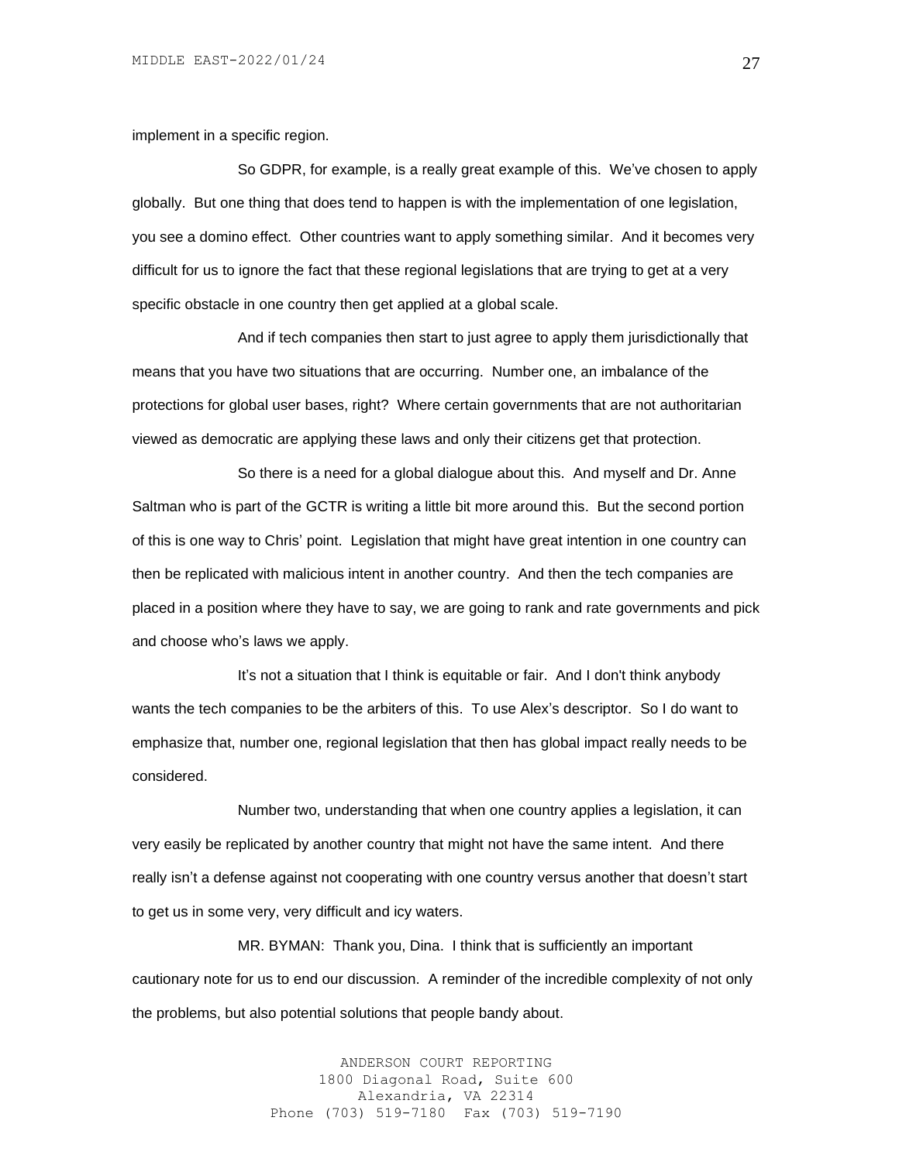implement in a specific region.

So GDPR, for example, is a really great example of this. We've chosen to apply globally. But one thing that does tend to happen is with the implementation of one legislation, you see a domino effect. Other countries want to apply something similar. And it becomes very difficult for us to ignore the fact that these regional legislations that are trying to get at a very specific obstacle in one country then get applied at a global scale.

And if tech companies then start to just agree to apply them jurisdictionally that means that you have two situations that are occurring. Number one, an imbalance of the protections for global user bases, right? Where certain governments that are not authoritarian viewed as democratic are applying these laws and only their citizens get that protection.

So there is a need for a global dialogue about this. And myself and Dr. Anne Saltman who is part of the GCTR is writing a little bit more around this. But the second portion of this is one way to Chris' point. Legislation that might have great intention in one country can then be replicated with malicious intent in another country. And then the tech companies are placed in a position where they have to say, we are going to rank and rate governments and pick and choose who's laws we apply.

It's not a situation that I think is equitable or fair. And I don't think anybody wants the tech companies to be the arbiters of this. To use Alex's descriptor. So I do want to emphasize that, number one, regional legislation that then has global impact really needs to be considered.

Number two, understanding that when one country applies a legislation, it can very easily be replicated by another country that might not have the same intent. And there really isn't a defense against not cooperating with one country versus another that doesn't start to get us in some very, very difficult and icy waters.

MR. BYMAN: Thank you, Dina. I think that is sufficiently an important cautionary note for us to end our discussion. A reminder of the incredible complexity of not only the problems, but also potential solutions that people bandy about.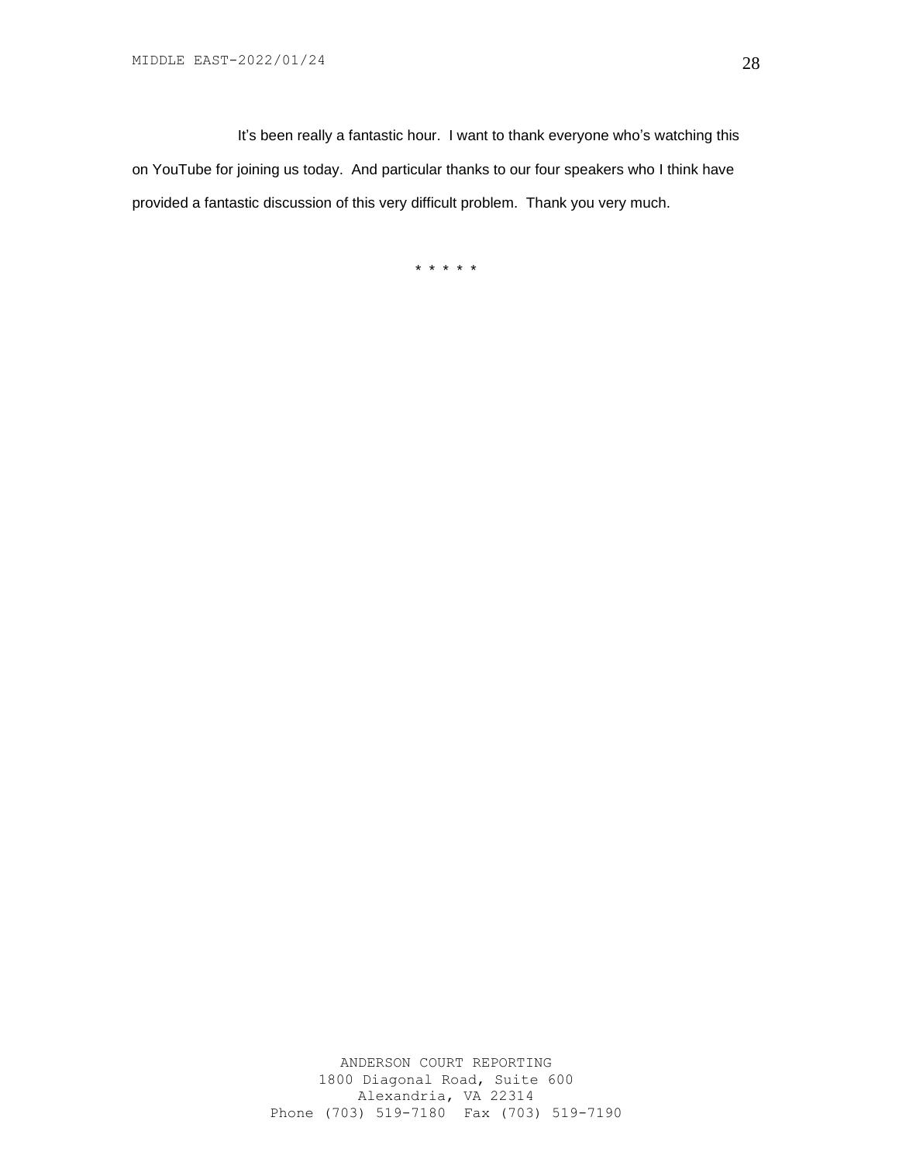It's been really a fantastic hour. I want to thank everyone who's watching this on YouTube for joining us today. And particular thanks to our four speakers who I think have provided a fantastic discussion of this very difficult problem. Thank you very much.

\* \* \* \* \*